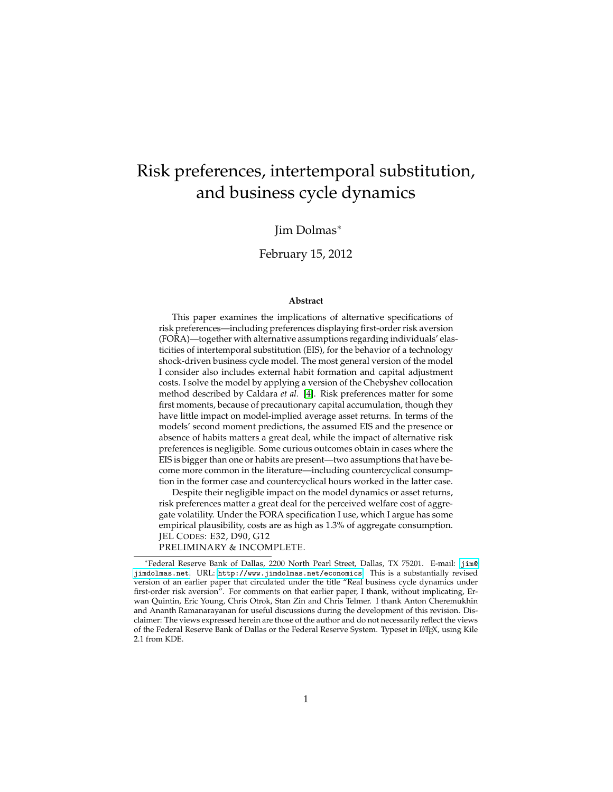# Risk preferences, intertemporal substitution, and business cycle dynamics

### Jim Dolmas<sup>∗</sup>

#### February 15, 2012

#### **Abstract**

This paper examines the implications of alternative specifications of risk preferences—including preferences displaying first-order risk aversion (FORA)—together with alternative assumptions regarding individuals' elasticities of intertemporal substitution (EIS), for the behavior of a technology shock-driven business cycle model. The most general version of the model I consider also includes external habit formation and capital adjustment costs. I solve the model by applying a version of the Chebyshev collocation method described by Caldara *et al.* [\[4\]](#page-27-0). Risk preferences matter for some first moments, because of precautionary capital accumulation, though they have little impact on model-implied average asset returns. In terms of the models' second moment predictions, the assumed EIS and the presence or absence of habits matters a great deal, while the impact of alternative risk preferences is negligible. Some curious outcomes obtain in cases where the EIS is bigger than one or habits are present—two assumptions that have become more common in the literature—including countercyclical consumption in the former case and countercyclical hours worked in the latter case.

Despite their negligible impact on the model dynamics or asset returns, risk preferences matter a great deal for the perceived welfare cost of aggregate volatility. Under the FORA specification I use, which I argue has some empirical plausibility, costs are as high as 1.3% of aggregate consumption. JEL CODES: E32, D90, G12 PRELIMINARY & INCOMPLETE.

<sup>∗</sup>Federal Reserve Bank of Dallas, 2200 North Pearl Street, Dallas, TX 75201. E-mail: [jim@](mailto:jim@jimdolmas.net) [jimdolmas.net](mailto:jim@jimdolmas.net). URL: <http://www.jimdolmas.net/economics>. This is a substantially revised version of an earlier paper that circulated under the title "Real business cycle dynamics under first-order risk aversion". For comments on that earlier paper, I thank, without implicating, Erwan Quintin, Eric Young, Chris Otrok, Stan Zin and Chris Telmer. I thank Anton Cheremukhin and Ananth Ramanarayanan for useful discussions during the development of this revision. Disclaimer: The views expressed herein are those of the author and do not necessarily reflect the views of the Federal Reserve Bank of Dallas or the Federal Reserve System. Typeset in L<sup>AT</sup>EX, using Kile 2.1 from KDE.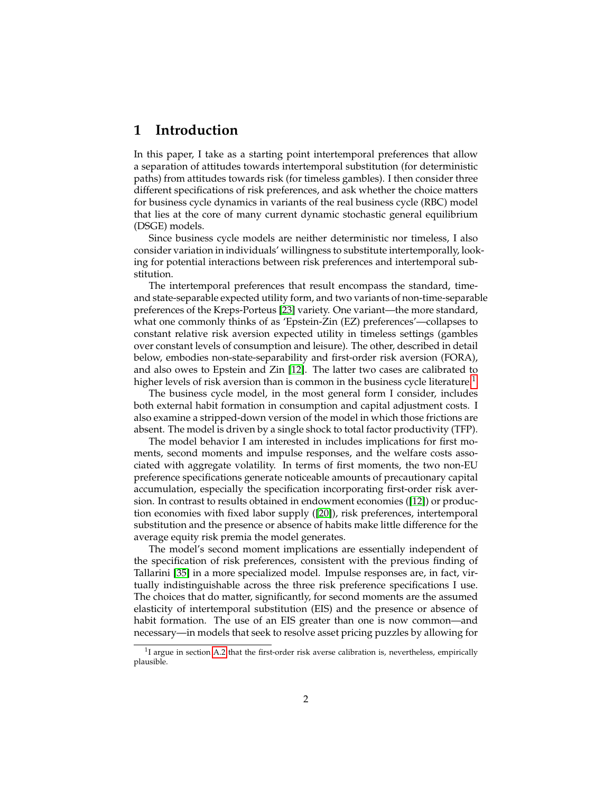# **1 Introduction**

In this paper, I take as a starting point intertemporal preferences that allow a separation of attitudes towards intertemporal substitution (for deterministic paths) from attitudes towards risk (for timeless gambles). I then consider three different specifications of risk preferences, and ask whether the choice matters for business cycle dynamics in variants of the real business cycle (RBC) model that lies at the core of many current dynamic stochastic general equilibrium (DSGE) models.

Since business cycle models are neither deterministic nor timeless, I also consider variation in individuals' willingness to substitute intertemporally, looking for potential interactions between risk preferences and intertemporal substitution.

The intertemporal preferences that result encompass the standard, timeand state-separable expected utility form, and two variants of non-time-separable preferences of the Kreps-Porteus [\[23\]](#page-28-0) variety. One variant—the more standard, what one commonly thinks of as 'Epstein-Zin (EZ) preferences'—collapses to constant relative risk aversion expected utility in timeless settings (gambles over constant levels of consumption and leisure). The other, described in detail below, embodies non-state-separability and first-order risk aversion (FORA), and also owes to Epstein and Zin [\[12\]](#page-28-1). The latter two cases are calibrated to higher levels of risk aversion than is common in the business cycle literature.<sup>[1](#page-1-0)</sup>

The business cycle model, in the most general form I consider, includes both external habit formation in consumption and capital adjustment costs. I also examine a stripped-down version of the model in which those frictions are absent. The model is driven by a single shock to total factor productivity (TFP).

The model behavior I am interested in includes implications for first moments, second moments and impulse responses, and the welfare costs associated with aggregate volatility. In terms of first moments, the two non-EU preference specifications generate noticeable amounts of precautionary capital accumulation, especially the specification incorporating first-order risk aversion. In contrast to results obtained in endowment economies ([\[12\]](#page-28-1)) or production economies with fixed labor supply ([\[20\]](#page-28-2)), risk preferences, intertemporal substitution and the presence or absence of habits make little difference for the average equity risk premia the model generates.

The model's second moment implications are essentially independent of the specification of risk preferences, consistent with the previous finding of Tallarini [\[35\]](#page-29-0) in a more specialized model. Impulse responses are, in fact, virtually indistinguishable across the three risk preference specifications I use. The choices that do matter, significantly, for second moments are the assumed elasticity of intertemporal substitution (EIS) and the presence or absence of habit formation. The use of an EIS greater than one is now common—and necessary—in models that seek to resolve asset pricing puzzles by allowing for

<span id="page-1-0"></span><sup>&</sup>lt;sup>1</sup>I argue in section [A.2](#page-24-0) that the first-order risk averse calibration is, nevertheless, empirically plausible.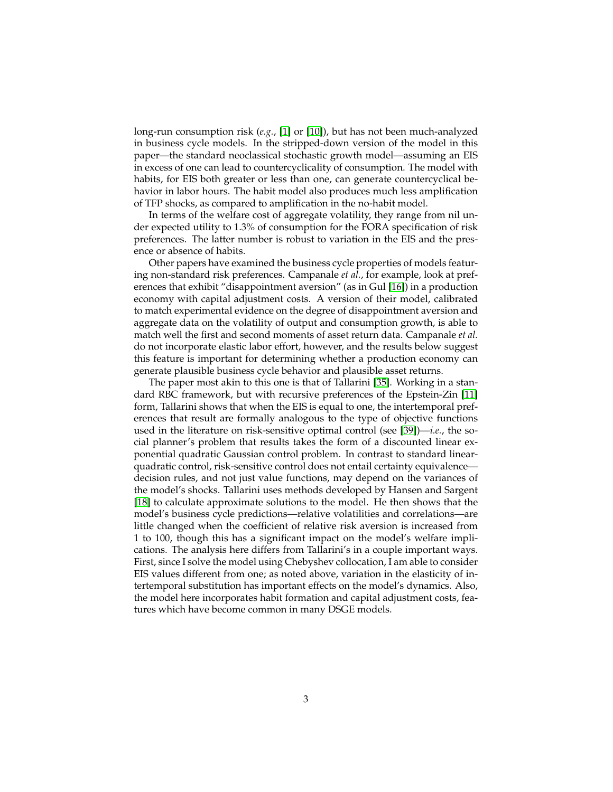long-run consumption risk (*e.g.*, [\[1\]](#page-27-1) or [\[10\]](#page-28-3)), but has not been much-analyzed in business cycle models. In the stripped-down version of the model in this paper—the standard neoclassical stochastic growth model—assuming an EIS in excess of one can lead to countercyclicality of consumption. The model with habits, for EIS both greater or less than one, can generate countercyclical behavior in labor hours. The habit model also produces much less amplification of TFP shocks, as compared to amplification in the no-habit model.

In terms of the welfare cost of aggregate volatility, they range from nil under expected utility to 1.3% of consumption for the FORA specification of risk preferences. The latter number is robust to variation in the EIS and the presence or absence of habits.

Other papers have examined the business cycle properties of models featuring non-standard risk preferences. Campanale *et al.*, for example, look at preferences that exhibit "disappointment aversion" (as in Gul [\[16\]](#page-28-4)) in a production economy with capital adjustment costs. A version of their model, calibrated to match experimental evidence on the degree of disappointment aversion and aggregate data on the volatility of output and consumption growth, is able to match well the first and second moments of asset return data. Campanale *et al.* do not incorporate elastic labor effort, however, and the results below suggest this feature is important for determining whether a production economy can generate plausible business cycle behavior and plausible asset returns.

The paper most akin to this one is that of Tallarini [\[35\]](#page-29-0). Working in a standard RBC framework, but with recursive preferences of the Epstein-Zin [\[11\]](#page-28-5) form, Tallarini shows that when the EIS is equal to one, the intertemporal preferences that result are formally analogous to the type of objective functions used in the literature on risk-sensitive optimal control (see [\[39\]](#page-30-0))—*i.e.*, the social planner's problem that results takes the form of a discounted linear exponential quadratic Gaussian control problem. In contrast to standard linearquadratic control, risk-sensitive control does not entail certainty equivalence decision rules, and not just value functions, may depend on the variances of the model's shocks. Tallarini uses methods developed by Hansen and Sargent [\[18\]](#page-28-6) to calculate approximate solutions to the model. He then shows that the model's business cycle predictions—relative volatilities and correlations—are little changed when the coefficient of relative risk aversion is increased from 1 to 100, though this has a significant impact on the model's welfare implications. The analysis here differs from Tallarini's in a couple important ways. First, since I solve the model using Chebyshev collocation, I am able to consider EIS values different from one; as noted above, variation in the elasticity of intertemporal substitution has important effects on the model's dynamics. Also, the model here incorporates habit formation and capital adjustment costs, features which have become common in many DSGE models.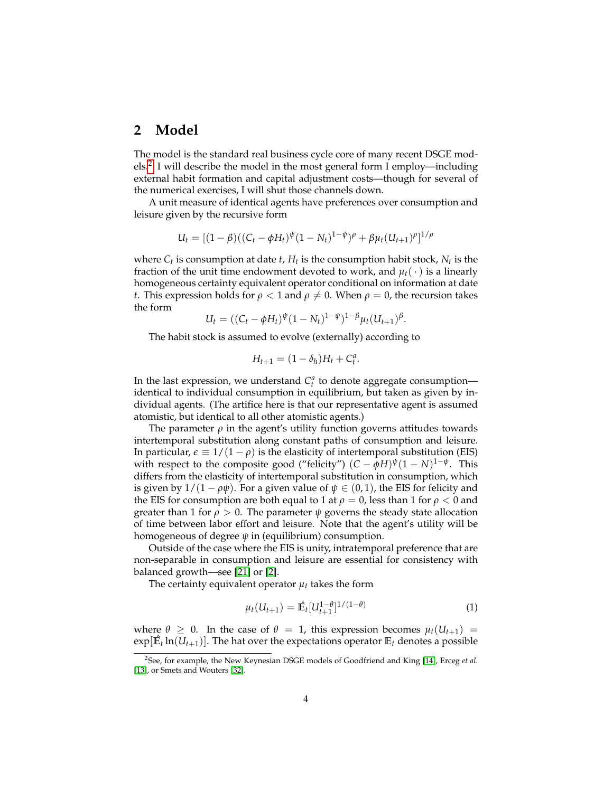### **2 Model**

The model is the standard real business cycle core of many recent DSGE mod-els.<sup>[2](#page-3-0)</sup> I will describe the model in the most general form I employ—including external habit formation and capital adjustment costs—though for several of the numerical exercises, I will shut those channels down.

A unit measure of identical agents have preferences over consumption and leisure given by the recursive form

$$
U_t = [(1 - \beta)((C_t - \phi H_t)^{\psi}(1 - N_t)^{1 - \psi})^{\rho} + \beta \mu_t (U_{t+1})^{\rho}]^{1/\rho}
$$

where  $C_t$  is consumption at date  $t$ ,  $H_t$  is the consumption habit stock,  $N_t$  is the fraction of the unit time endowment devoted to work, and  $\mu_t(\cdot)$  is a linearly homogeneous certainty equivalent operator conditional on information at date *t*. This expression holds for  $\rho < 1$  and  $\rho \neq 0$ . When  $\rho = 0$ , the recursion takes the form

$$
U_t = ((C_t - \phi H_t)^{\psi} (1 - N_t)^{1 - \psi})^{1 - \beta} \mu_t (U_{t+1})^{\beta}.
$$

The habit stock is assumed to evolve (externally) according to

$$
H_{t+1} = (1 - \delta_h)H_t + C_t^a.
$$

In the last expression, we understand  $C_t^a$  to denote aggregate consumption identical to individual consumption in equilibrium, but taken as given by individual agents. (The artifice here is that our representative agent is assumed atomistic, but identical to all other atomistic agents.)

The parameter  $\rho$  in the agent's utility function governs attitudes towards intertemporal substitution along constant paths of consumption and leisure. In particular,  $\epsilon \equiv 1/(1 - \rho)$  is the elasticity of intertemporal substitution (EIS) with respect to the composite good ("felicity")  $(C - \hat{\phi}H)^{\psi}(1 - N)^{1-\psi}$ . This differs from the elasticity of intertemporal substitution in consumption, which is given by  $1/(1 - \rho \psi)$ . For a given value of  $\psi \in (0, 1)$ , the EIS for felicity and the EIS for consumption are both equal to 1 at  $\rho = 0$ , less than 1 for  $\rho < 0$  and greater than 1 for  $\rho > 0$ . The parameter  $\psi$  governs the steady state allocation of time between labor effort and leisure. Note that the agent's utility will be homogeneous of degree *ψ* in (equilibrium) consumption.

Outside of the case where the EIS is unity, intratemporal preference that are non-separable in consumption and leisure are essential for consistency with balanced growth—see [\[21\]](#page-28-7) or [\[2\]](#page-27-2).

The certainty equivalent operator  $\mu_t$  takes the form

<span id="page-3-1"></span>
$$
\mu_t(U_{t+1}) = \hat{\mathbb{E}}_t[U_{t+1}^{1-\theta}]^{1/(1-\theta)}
$$
\n(1)

where  $\theta \geq 0$ . In the case of  $\theta = 1$ , this expression becomes  $\mu_t(U_{t+1}) =$  $\exp[\hat{\mathbb{E}}_t \ln(U_{t+1})]$ . The hat over the expectations operator  $\mathbb{E}_t$  denotes a possible

<span id="page-3-0"></span><sup>2</sup>See, for example, the New Keynesian DSGE models of Goodfriend and King [\[14\]](#page-28-8), Erceg *et al.* [\[13\]](#page-28-9), or Smets and Wouters [\[32\]](#page-29-1).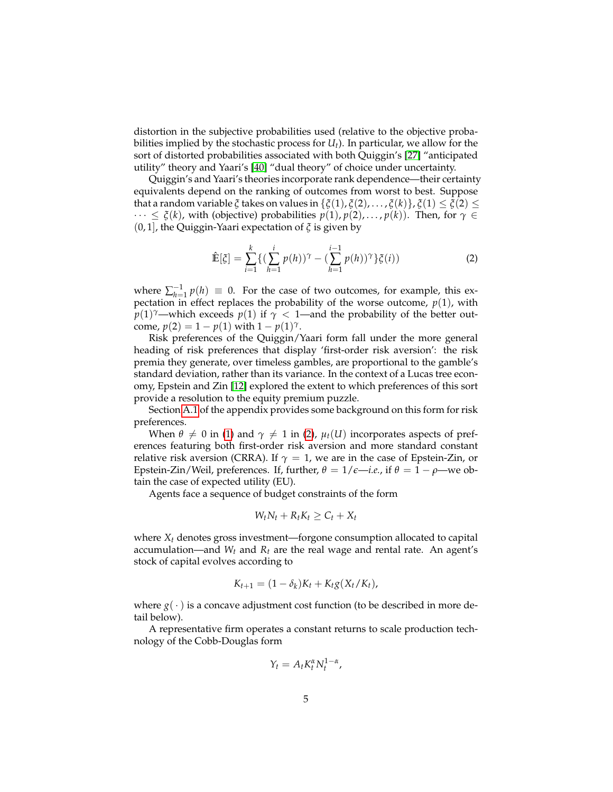distortion in the subjective probabilities used (relative to the objective probabilities implied by the stochastic process for *Ut*). In particular, we allow for the sort of distorted probabilities associated with both Quiggin's [\[27\]](#page-29-2) "anticipated utility" theory and Yaari's [\[40\]](#page-30-1) "dual theory" of choice under uncertainty.

Quiggin's and Yaari's theories incorporate rank dependence—their certainty equivalents depend on the ranking of outcomes from worst to best. Suppose that a random variable *ξ* takes on values in  $\{\xi(1), \xi(2), \ldots, \xi(k)\}, \xi(1) \leq \xi(2) \leq$  $\cdots \leq \xi(k)$ , with (objective) probabilities  $p(1), p(2), \ldots, p(k)$ ). Then, for  $\gamma \in$ (0, 1], the Quiggin-Yaari expectation of *ξ* is given by

<span id="page-4-0"></span>
$$
\hat{\mathbb{E}}[\xi] = \sum_{i=1}^{k} \{ (\sum_{h=1}^{i} p(h))^{\gamma} - (\sum_{h=1}^{i-1} p(h))^{\gamma} \} \xi(i))
$$
 (2)

where  $\sum_{h=1}^{-1} p(h) \equiv 0$ . For the case of two outcomes, for example, this expectation in effect replaces the probability of the worse outcome,  $p(1)$ , with  $p(1)^\gamma$ —which exceeds  $p(1)$  if  $\gamma < 1$ —and the probability of the better outcome,  $p(2) = 1 - p(1)$  with  $1 - p(1)^{\gamma}$ .

Risk preferences of the Quiggin/Yaari form fall under the more general heading of risk preferences that display 'first-order risk aversion': the risk premia they generate, over timeless gambles, are proportional to the gamble's standard deviation, rather than its variance. In the context of a Lucas tree economy, Epstein and Zin [\[12\]](#page-28-1) explored the extent to which preferences of this sort provide a resolution to the equity premium puzzle.

Section [A.1](#page-22-0) of the appendix provides some background on this form for risk preferences.

When  $\theta \neq 0$  in [\(1\)](#page-3-1) and  $\gamma \neq 1$  in [\(2\)](#page-4-0),  $\mu_t(U)$  incorporates aspects of preferences featuring both first-order risk aversion and more standard constant relative risk aversion (CRRA). If  $\gamma = 1$ , we are in the case of Epstein-Zin, or Epstein-Zin/Weil, preferences. If, further,  $\theta = 1/\epsilon - i.e.,$  if  $\theta = 1 - \rho$ —we obtain the case of expected utility (EU).

Agents face a sequence of budget constraints of the form

$$
W_t N_t + R_t K_t \geq C_t + X_t
$$

where *X<sup>t</sup>* denotes gross investment—forgone consumption allocated to capital accumulation—and  $W_t$  and  $R_t$  are the real wage and rental rate. An agent's stock of capital evolves according to

$$
K_{t+1} = (1 - \delta_k)K_t + K_t g(X_t/K_t),
$$

where  $g(\cdot)$  is a concave adjustment cost function (to be described in more detail below).

A representative firm operates a constant returns to scale production technology of the Cobb-Douglas form

$$
Y_t = A_t K_t^{\alpha} N_t^{1-\alpha},
$$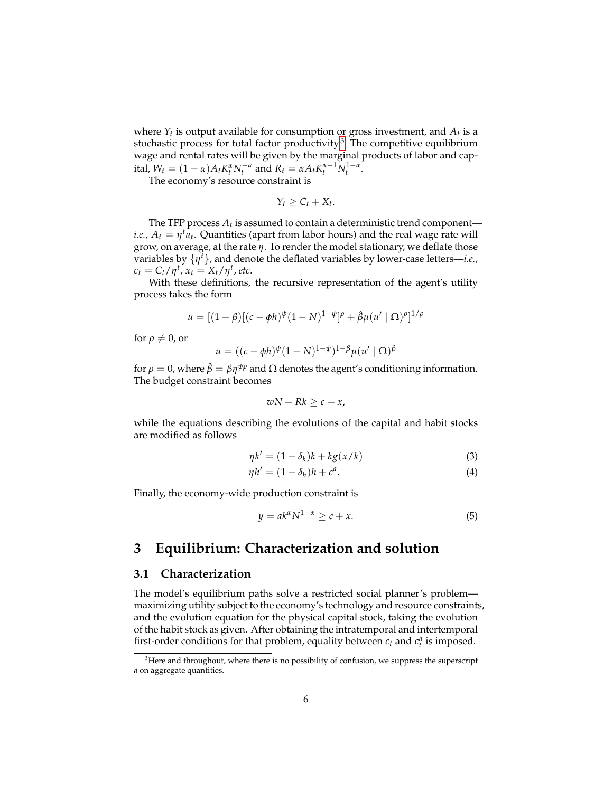where  $Y_t$  is output available for consumption or gross investment, and  $A_t$  is a stochastic process for total factor productivity.<sup>[3](#page-5-0)</sup> The competitive equilibrium wage and rental rates will be given by the marginal products of labor and capital,  $W_t = (1 - \alpha) A_t K_t^{\alpha} N_t^{-\alpha}$  and  $R_t = \alpha A_t K_t^{\alpha - 1} N_t^{1 - \alpha}$ .

The economy's resource constraint is

$$
Y_t \geq C_t + X_t.
$$

The TFP process  $A_t$  is assumed to contain a deterministic trend component *i.e.,*  $A_t = \eta^t \bar{a_t}$ . Quantities (apart from labor hours) and the real wage rate will grow, on average, at the rate *η*. To render the model stationary, we deflate those variables by {*η <sup>t</sup>*}, and denote the deflated variables by lower-case letters—*i.e.*,  $c_t = C_t / \eta^t$ ,  $x_t = X_t / \eta^t$ , etc.

With these definitions, the recursive representation of the agent's utility process takes the form

$$
u = [(1 - \beta)[(c - \phi h)^{\psi}(1 - N)^{1 - \psi}]^{\rho} + \hat{\beta}\mu(u' | \Omega)^{\rho}]^{1/\rho}
$$

for  $\rho \neq 0$ , or

$$
u = ((c - \phi h)^{\psi} (1 - N)^{1 - \psi})^{1 - \beta} \mu (u' | \Omega)^{\beta}
$$

for *ρ* = 0, where *β*ˆ = *βηψρ* and Ω denotes the agent's conditioning information. The budget constraint becomes

<span id="page-5-3"></span><span id="page-5-2"></span>
$$
wN + Rk \geq c + x,
$$

while the equations describing the evolutions of the capital and habit stocks are modified as follows

$$
\eta k' = (1 - \delta_k)k + k g(x/k) \tag{3}
$$

$$
\eta h' = (1 - \delta_h)h + c^a. \tag{4}
$$

Finally, the economy-wide production constraint is

<span id="page-5-1"></span>
$$
y = ak^{\alpha} N^{1-\alpha} \ge c + x. \tag{5}
$$

## **3 Equilibrium: Characterization and solution**

#### <span id="page-5-4"></span>**3.1 Characterization**

The model's equilibrium paths solve a restricted social planner's problem maximizing utility subject to the economy's technology and resource constraints, and the evolution equation for the physical capital stock, taking the evolution of the habit stock as given. After obtaining the intratemporal and intertemporal first-order conditions for that problem, equality between  $c_t$  and  $c_t^a$  is imposed.

<span id="page-5-0"></span> $3$ Here and throughout, where there is no possibility of confusion, we suppress the superscript *a* on aggregate quantities.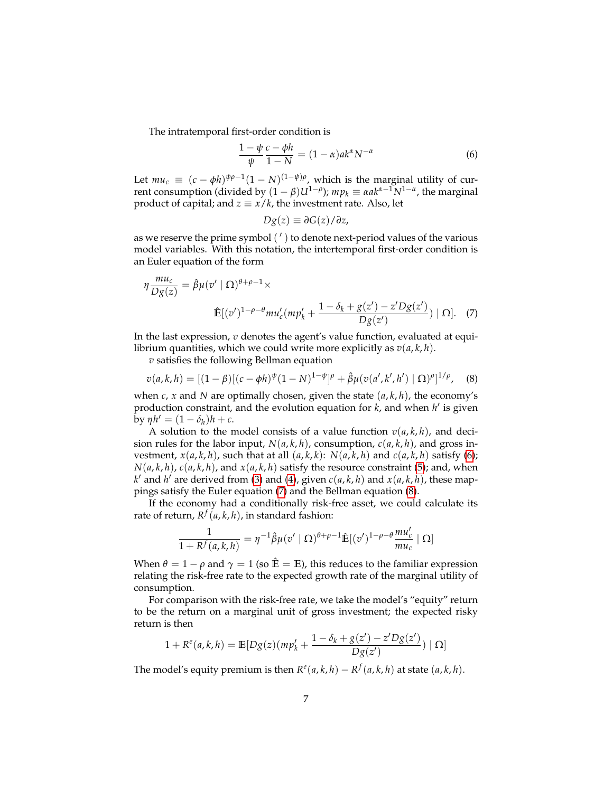The intratemporal first-order condition is

<span id="page-6-0"></span>
$$
\frac{1-\psi}{\psi}\frac{c-\phi h}{1-N} = (1-\alpha)ak^{\alpha}N^{-\alpha}
$$
\n(6)

Let  $mu_c \equiv (c - \phi h)^{\psi \rho - 1} (1 - N)^{(1 - \psi) \rho}$ , which is the marginal utility of current consumption (divided by  $(1 - \beta)U^{1-\rho}$ );  $mp_k \equiv \alpha ak^{\alpha-1}N^{1-\alpha}$ , the marginal product of capital; and  $z \equiv x/k$ , the investment rate. Also, let

<span id="page-6-2"></span><span id="page-6-1"></span>
$$
Dg(z) \equiv \partial G(z)/\partial z,
$$

as we reserve the prime symbol (') to denote next-period values of the various model variables. With this notation, the intertemporal first-order condition is an Euler equation of the form

$$
\eta \frac{m u_c}{Dg(z)} = \hat{\beta} \mu (v' \mid \Omega)^{\theta + \rho - 1} \times
$$
  

$$
\hat{\mathbb{E}}[(v')^{1 - \rho - \theta} m u_c' (m p_k' + \frac{1 - \delta_k + g(z') - z' D g(z')}{D g(z')}) \mid \Omega].
$$
 (7)

In the last expression, *v* denotes the agent's value function, evaluated at equilibrium quantities, which we could write more explicitly as  $v(a, k, h)$ .

*v* satisfies the following Bellman equation

$$
v(a,k,h) = [(1 - \beta)[(c - \phi h)^{\psi}(1 - N)^{1 - \psi}]^{\rho} + \hat{\beta}\mu(v(a',k',h') | \Omega)^{\rho}]^{1/\rho}, \quad (8)
$$

when *c*, *x* and *N* are optimally chosen, given the state (*a*, *k*, *h*), the economy's production constraint, and the evolution equation for *k*, and when *h*<sup>*l*</sup> is given  $\int$ *by*  $\eta h' = (1 - \delta_h)h + c$ .

A solution to the model consists of a value function  $v(a, k, h)$ , and decision rules for the labor input,  $N(a, k, h)$ , consumption,  $c(a, k, h)$ , and gross investment,  $x(a, k, h)$ , such that at all  $(a, k, k)$ :  $N(a, k, h)$  and  $c(a, k, h)$  satisfy [\(6\)](#page-6-0);  $N(a, k, h)$ ,  $c(a, k, h)$ , and  $x(a, k, h)$  satisfy the resource constraint [\(5\)](#page-5-1); and, when  $k'$  and  $h'$  are derived from [\(3\)](#page-5-2) and [\(4\)](#page-5-3), given  $c(a, k, h)$  and  $x(a, k, h)$ , these mappings satisfy the Euler equation [\(7\)](#page-6-1) and the Bellman equation [\(8\)](#page-6-2).

If the economy had a conditionally risk-free asset, we could calculate its rate of return, *R f* (*a*, *k*, *h*), in standard fashion:

$$
\frac{1}{1+R^f(a,k,h)}=\eta^{-1}\hat{\beta}\mu(v'\mid\Omega)^{\theta+\rho-1}\hat{\mathbb{E}}[(v')^{1-\rho-\theta}\frac{mu'_c}{mu_c}\mid\Omega]
$$

When  $\theta = 1 - \rho$  and  $\gamma = 1$  (so  $\hat{\mathbb{E}} = \mathbb{E}$ ), this reduces to the familiar expression relating the risk-free rate to the expected growth rate of the marginal utility of consumption.

For comparison with the risk-free rate, we take the model's "equity" return to be the return on a marginal unit of gross investment; the expected risky return is then

$$
1 + R^{e}(a, k, h) = \mathbb{E}[Dg(z)(mp'_{k} + \frac{1 - \delta_{k} + g(z') - z'Dg(z')}{Dg(z')}) | \Omega]
$$

The model's equity premium is then  $R^e(a, k, h) - R^f(a, k, h)$  at state  $(a, k, h)$ .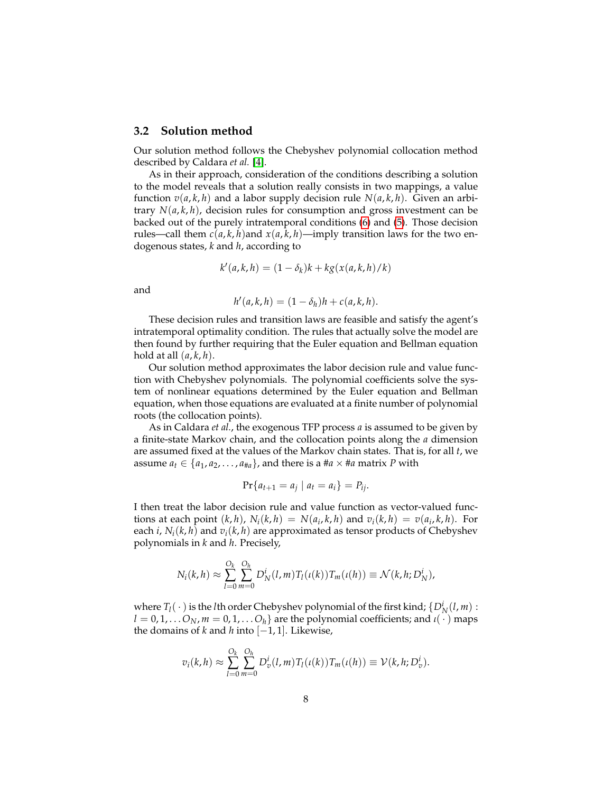#### **3.2 Solution method**

Our solution method follows the Chebyshev polynomial collocation method described by Caldara *et al.* [\[4\]](#page-27-0).

As in their approach, consideration of the conditions describing a solution to the model reveals that a solution really consists in two mappings, a value function  $v(a, k, h)$  and a labor supply decision rule  $N(a, k, h)$ . Given an arbitrary  $N(a, k, h)$ , decision rules for consumption and gross investment can be backed out of the purely intratemporal conditions [\(6\)](#page-6-0) and [\(5\)](#page-5-1). Those decision rules—call them  $c(a, k, h)$  and  $x(a, k, h)$ —imply transition laws for the two endogenous states, *k* and *h*, according to

$$
k'(a,k,h) = (1 - \delta_k)k + k g(x(a,k,h)/k)
$$

and

$$
h'(a,k,h)=(1-\delta_h)h+c(a,k,h).
$$

These decision rules and transition laws are feasible and satisfy the agent's intratemporal optimality condition. The rules that actually solve the model are then found by further requiring that the Euler equation and Bellman equation hold at all (*a*, *k*, *h*).

Our solution method approximates the labor decision rule and value function with Chebyshev polynomials. The polynomial coefficients solve the system of nonlinear equations determined by the Euler equation and Bellman equation, when those equations are evaluated at a finite number of polynomial roots (the collocation points).

As in Caldara *et al.*, the exogenous TFP process *a* is assumed to be given by a finite-state Markov chain, and the collocation points along the *a* dimension are assumed fixed at the values of the Markov chain states. That is, for all *t*, we assume  $a_t \in \{a_1, a_2, \ldots, a_{\#a}\}\$ , and there is a #*a*  $\times$  #*a* matrix *P* with

$$
Pr{a_{t+1} = a_j | a_t = a_i} = P_{ij}.
$$

I then treat the labor decision rule and value function as vector-valued functions at each point  $(k, h)$ ,  $N_i(k, h) = N(a_i, k, h)$  and  $v_i(k, h) = v(a_i, k, h)$ . For each *i*,  $N_i(k, h)$  and  $v_i(k, h)$  are approximated as tensor products of Chebyshev polynomials in *k* and *h*. Precisely,

$$
N_i(k,h) \approx \sum_{l=0}^{O_k} \sum_{m=0}^{O_h} D_N^i(l,m) T_l(\iota(k)) T_m(\iota(h)) \equiv \mathcal{N}(k,h; D_N^i),
$$

where  $T_l(\cdot)$  is the *l*th order Chebyshev polynomial of the first kind;  $\{D_N^i(l,m):$  $l = 0, 1, \ldots O_N$ ,  $m = 0, 1, \ldots O_h$  are the polynomial coefficients; and  $l(\cdot)$  maps the domains of *k* and *h* into  $[-1, 1]$ . Likewise,

$$
v_i(k,h) \approx \sum_{l=0}^{O_k} \sum_{m=0}^{O_h} D_v^i(l,m) T_l(\iota(k)) T_m(\iota(h)) \equiv \mathcal{V}(k,h; D_v^i).
$$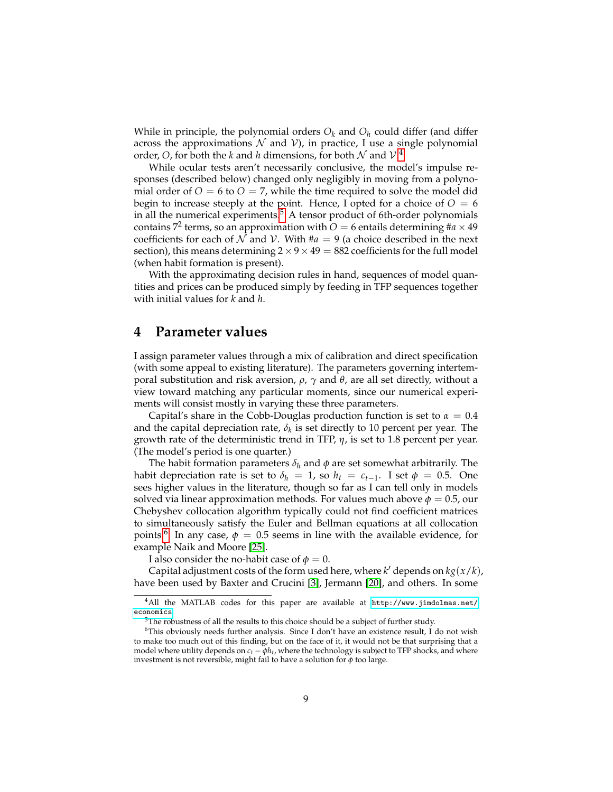While in principle, the polynomial orders *O<sup>k</sup>* and *O<sup>h</sup>* could differ (and differ across the approximations  $\mathcal N$  and  $\mathcal V$ ), in practice, I use a single polynomial order, O, for both the *k* and *h* dimensions, for both  $N$  and  $V$ .<sup>[4](#page-8-0)</sup>

While ocular tests aren't necessarily conclusive, the model's impulse responses (described below) changed only negligibly in moving from a polynomial order of  $O = 6$  to  $O = 7$ , while the time required to solve the model did begin to increase steeply at the point. Hence, I opted for a choice of  $O = 6$ in all the numerical experiments.<sup>[5](#page-8-1)</sup> A tensor product of 6th-order polynomials contains 7<sup>2</sup> terms, so an approximation with  $O = 6$  entails determining # $a \times 49$ coefficients for each of N and V. With  $\#a = 9$  (a choice described in the next section), this means determining  $2 \times 9 \times 49 = 882$  coefficients for the full model (when habit formation is present).

With the approximating decision rules in hand, sequences of model quantities and prices can be produced simply by feeding in TFP sequences together with initial values for *k* and *h*.

### **4 Parameter values**

I assign parameter values through a mix of calibration and direct specification (with some appeal to existing literature). The parameters governing intertemporal substitution and risk aversion, *ρ*, *γ* and *θ*, are all set directly, without a view toward matching any particular moments, since our numerical experiments will consist mostly in varying these three parameters.

Capital's share in the Cobb-Douglas production function is set to *α* = 0.4 and the capital depreciation rate, *δ<sup>k</sup>* is set directly to 10 percent per year. The growth rate of the deterministic trend in TFP, *η*, is set to 1.8 percent per year. (The model's period is one quarter.)

The habit formation parameters  $\delta_h$  and  $\phi$  are set somewhat arbitrarily. The habit depreciation rate is set to  $\delta_h = 1$ , so  $h_t = c_{t-1}$ . I set  $\phi = 0.5$ . One sees higher values in the literature, though so far as I can tell only in models solved via linear approximation methods. For values much above  $\phi = 0.5$ , our Chebyshev collocation algorithm typically could not find coefficient matrices to simultaneously satisfy the Euler and Bellman equations at all collocation points.<sup>[6](#page-8-2)</sup> In any case,  $\phi = 0.5$  seems in line with the available evidence, for example Naik and Moore [\[25\]](#page-29-3).

I also consider the no-habit case of  $\phi = 0$ .

Capital adjustment costs of the form used here, where  $k'$  depends on  $kg(x/k)$ , have been used by Baxter and Crucini [\[3\]](#page-27-3), Jermann [\[20\]](#page-28-2), and others. In some

<span id="page-8-0"></span><sup>4</sup>All the MATLAB codes for this paper are available at [http://www.jimdolmas.net/](http://www.jimdolmas.net/economics) [economics](http://www.jimdolmas.net/economics).

<span id="page-8-2"></span><span id="page-8-1"></span> $5$ The robustness of all the results to this choice should be a subject of further study.

<sup>&</sup>lt;sup>6</sup>This obviously needs further analysis. Since I don't have an existence result, I do not wish to make too much out of this finding, but on the face of it, it would not be that surprising that a model where utility depends on  $c_t$  −  $\phi h_t$ , where the technology is subject to TFP shocks, and where investment is not reversible, might fail to have a solution for *φ* too large.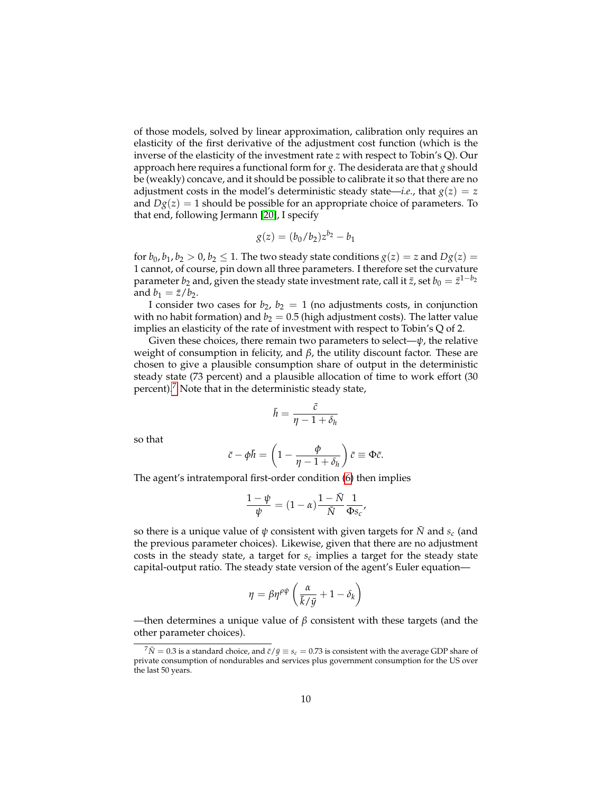of those models, solved by linear approximation, calibration only requires an elasticity of the first derivative of the adjustment cost function (which is the inverse of the elasticity of the investment rate *z* with respect to Tobin's Q). Our approach here requires a functional form for *g*. The desiderata are that *g* should be (weakly) concave, and it should be possible to calibrate it so that there are no adjustment costs in the model's deterministic steady state—*i.e.*, that  $g(z) = z$ and  $Dg(z) = 1$  should be possible for an appropriate choice of parameters. To that end, following Jermann [\[20\]](#page-28-2), I specify

$$
g(z) = (b_0/b_2)z^{b_2} - b_1
$$

for  $b_0$ ,  $b_1$ ,  $b_2 > 0$ ,  $b_2 \le 1$ . The two steady state conditions  $g(z) = z$  and  $Dg(z) = z$ 1 cannot, of course, pin down all three parameters. I therefore set the curvature parameter  $b_2$  and, given the steady state investment rate, call it  $\bar{z}$ , set  $b_0 = \bar{z}^{1-b_2}$ and  $b_1 = \bar{z}/b_2$ .

I consider two cases for  $b_2$ ,  $b_2 = 1$  (no adjustments costs, in conjunction with no habit formation) and  $b_2 = 0.5$  (high adjustment costs). The latter value implies an elasticity of the rate of investment with respect to Tobin's Q of 2.

Given these choices, there remain two parameters to select—*ψ*, the relative weight of consumption in felicity, and *β*, the utility discount factor. These are chosen to give a plausible consumption share of output in the deterministic steady state (73 percent) and a plausible allocation of time to work effort (30 percent). $\frac{7}{7}$  $\frac{7}{7}$  $\frac{7}{7}$  Note that in the deterministic steady state,

$$
\bar{h} = \frac{\bar{c}}{\eta - 1 + \delta_h}
$$

so that

$$
\bar{c} - \phi \bar{h} = \left(1 - \frac{\phi}{\eta - 1 + \delta_h}\right)\bar{c} \equiv \Phi \bar{c}.
$$

The agent's intratemporal first-order condition [\(6\)](#page-6-0) then implies

$$
\frac{1-\psi}{\psi} = (1-\alpha)\frac{1-\bar{N}}{\bar{N}}\frac{1}{\Phi s_c},
$$

so there is a unique value of  $\psi$  consistent with given targets for *N* and  $s_c$  (and the previous parameter choices). Likewise, given that there are no adjustment costs in the steady state, a target for *s<sup>c</sup>* implies a target for the steady state capital-output ratio. The steady state version of the agent's Euler equation—

$$
\eta = \beta \eta^{\rho \psi} \left( \frac{\alpha}{\bar{k}/\bar{y}} + 1 - \delta_k \right)
$$

—then determines a unique value of  $\beta$  consistent with these targets (and the other parameter choices).

<span id="page-9-0"></span> $\sqrt[7]{N}$  = 0.3 is a standard choice, and  $\bar{c}/\bar{y} \equiv s_c = 0.73$  is consistent with the average GDP share of private consumption of nondurables and services plus government consumption for the US over the last 50 years.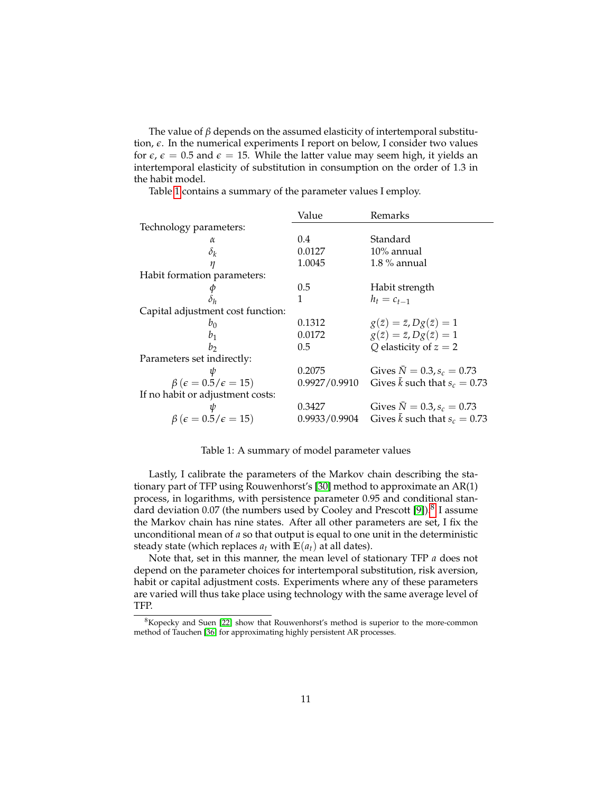The value of *β* depends on the assumed elasticity of intertemporal substitution, *e*. In the numerical experiments I report on below, I consider two values for  $\epsilon$ ,  $\epsilon$  = 0.5 and  $\epsilon$  = 15. While the latter value may seem high, it yields an intertemporal elasticity of substitution in consumption on the order of 1.3 in the habit model.

Table [1](#page-10-0) contains a summary of the parameter values I employ.

| Value         | Remarks                                    |
|---------------|--------------------------------------------|
|               |                                            |
| 0.4           | Standard                                   |
| 0.0127        | $10\%$ annual                              |
| 1.0045        | $1.8\%$ annual                             |
|               |                                            |
| 0.5           | Habit strength                             |
| 1             | $h_t = c_{t-1}$                            |
|               |                                            |
| 0.1312        | $g(\bar{z}) = \bar{z}$ , $Dg(\bar{z}) = 1$ |
| 0.0172        | $g(\bar{z}) = \bar{z}$ , $Dg(\bar{z}) = 1$ |
| 0.5           | Q elasticity of $z = 2$                    |
|               |                                            |
| 0.2075        | Gives $\bar{N} = 0.3$ , $s_c = 0.73$       |
| 0.9927/0.9910 | Gives $\bar{k}$ such that $s_c = 0.73$     |
|               |                                            |
| 0.3427        | Gives $\bar{N} = 0.3$ , $s_c = 0.73$       |
| 0.9933/0.9904 | Gives $\bar{k}$ such that $s_c = 0.73$     |
|               |                                            |

<span id="page-10-0"></span>Table 1: A summary of model parameter values

Lastly, I calibrate the parameters of the Markov chain describing the stationary part of TFP using Rouwenhorst's [\[30\]](#page-29-4) method to approximate an AR(1) process, in logarithms, with persistence parameter 0.95 and conditional stan-dard deviation 0.07 (the numbers used by Cooley and Prescott [\[9\]](#page-27-4)).<sup>[8](#page-10-1)</sup> I assume the Markov chain has nine states. After all other parameters are set, I fix the unconditional mean of *a* so that output is equal to one unit in the deterministic steady state (which replaces  $a_t$  with  $\mathbb{E}(a_t)$  at all dates).

Note that, set in this manner, the mean level of stationary TFP *a* does not depend on the parameter choices for intertemporal substitution, risk aversion, habit or capital adjustment costs. Experiments where any of these parameters are varied will thus take place using technology with the same average level of TFP.

<span id="page-10-1"></span><sup>&</sup>lt;sup>8</sup>Kopecky and Suen [\[22\]](#page-28-10) show that Rouwenhorst's method is superior to the more-common method of Tauchen [\[36\]](#page-29-5) for approximating highly persistent AR processes.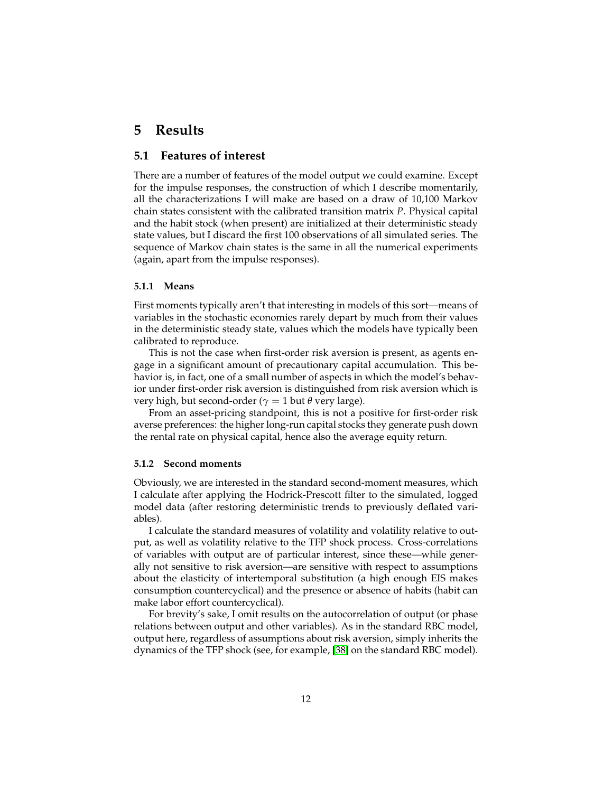### **5 Results**

#### **5.1 Features of interest**

There are a number of features of the model output we could examine. Except for the impulse responses, the construction of which I describe momentarily, all the characterizations I will make are based on a draw of 10,100 Markov chain states consistent with the calibrated transition matrix *P*. Physical capital and the habit stock (when present) are initialized at their deterministic steady state values, but I discard the first 100 observations of all simulated series. The sequence of Markov chain states is the same in all the numerical experiments (again, apart from the impulse responses).

#### **5.1.1 Means**

First moments typically aren't that interesting in models of this sort—means of variables in the stochastic economies rarely depart by much from their values in the deterministic steady state, values which the models have typically been calibrated to reproduce.

This is not the case when first-order risk aversion is present, as agents engage in a significant amount of precautionary capital accumulation. This behavior is, in fact, one of a small number of aspects in which the model's behavior under first-order risk aversion is distinguished from risk aversion which is very high, but second-order ( $\gamma = 1$  but  $\theta$  very large).

From an asset-pricing standpoint, this is not a positive for first-order risk averse preferences: the higher long-run capital stocks they generate push down the rental rate on physical capital, hence also the average equity return.

#### **5.1.2 Second moments**

Obviously, we are interested in the standard second-moment measures, which I calculate after applying the Hodrick-Prescott filter to the simulated, logged model data (after restoring deterministic trends to previously deflated variables).

I calculate the standard measures of volatility and volatility relative to output, as well as volatility relative to the TFP shock process. Cross-correlations of variables with output are of particular interest, since these—while generally not sensitive to risk aversion—are sensitive with respect to assumptions about the elasticity of intertemporal substitution (a high enough EIS makes consumption countercyclical) and the presence or absence of habits (habit can make labor effort countercyclical).

For brevity's sake, I omit results on the autocorrelation of output (or phase relations between output and other variables). As in the standard RBC model, output here, regardless of assumptions about risk aversion, simply inherits the dynamics of the TFP shock (see, for example, [\[38\]](#page-29-6) on the standard RBC model).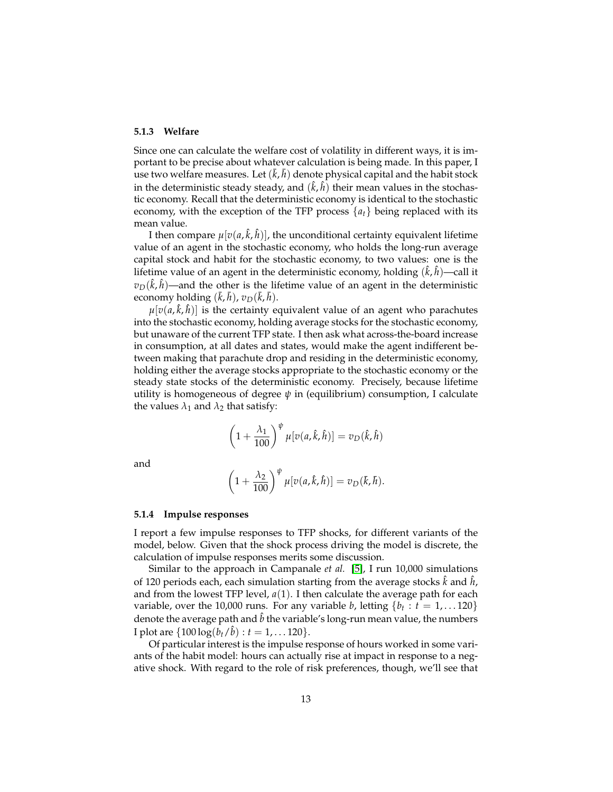#### <span id="page-12-1"></span>**5.1.3 Welfare**

Since one can calculate the welfare cost of volatility in different ways, it is important to be precise about whatever calculation is being made. In this paper, I use two welfare measures. Let  $(\bar{k}, \bar{h})$  denote physical capital and the habit stock in the deterministic steady steady, and  $(\hat{k}, \hat{h})$  their mean values in the stochastic economy. Recall that the deterministic economy is identical to the stochastic economy, with the exception of the TFP process {*at*} being replaced with its mean value.

I then compare  $\mu [v(a,\hat{k},\hat{h})]$ , the unconditional certainty equivalent lifetime value of an agent in the stochastic economy, who holds the long-run average capital stock and habit for the stochastic economy, to two values: one is the lifetime value of an agent in the deterministic economy, holding  $(\hat{k}, \hat{h})$ —call it  $v_D(\hat k,\hat h)$ —and the other is the lifetime value of an agent in the deterministic economy holding  $(\bar{k}, \bar{h})$ ,  $v_D(\bar{k}, \bar{h})$ .

 $\mu[v(a,\hat{k},\hat{h})]$  is the certainty equivalent value of an agent who parachutes into the stochastic economy, holding average stocks for the stochastic economy, but unaware of the current TFP state. I then ask what across-the-board increase in consumption, at all dates and states, would make the agent indifferent between making that parachute drop and residing in the deterministic economy, holding either the average stocks appropriate to the stochastic economy or the steady state stocks of the deterministic economy. Precisely, because lifetime utility is homogeneous of degree  $\psi$  in (equilibrium) consumption, I calculate the values  $\lambda_1$  and  $\lambda_2$  that satisfy:

$$
\left(1+\frac{\lambda_1}{100}\right)^{\psi}\mu[v(a,\hat{k},\hat{h})]=v_D(\hat{k},\hat{h})
$$

and

$$
\left(1+\frac{\lambda_2}{100}\right)^{\psi}\mu[v(a,\hat{k},\hat{h})]=v_D(\bar{k},\bar{h}).
$$

#### <span id="page-12-0"></span>**5.1.4 Impulse responses**

I report a few impulse responses to TFP shocks, for different variants of the model, below. Given that the shock process driving the model is discrete, the calculation of impulse responses merits some discussion.

Similar to the approach in Campanale *et al.* [\[5\]](#page-27-5), I run 10,000 simulations of 120 periods each, each simulation starting from the average stocks  $\hat{k}$  and  $\hat{h}$ , and from the lowest TFP level,  $a(1)$ . I then calculate the average path for each variable, over the 10,000 runs. For any variable *b*, letting  $\{b_t : t = 1, \ldots 120\}$ denote the average path and  $\hat{b}$  the variable's long-run mean value, the numbers I plot are  $\{100 \log(b_t/\hat{b}) : t = 1,...,120\}$ .

Of particular interest is the impulse response of hours worked in some variants of the habit model: hours can actually rise at impact in response to a negative shock. With regard to the role of risk preferences, though, we'll see that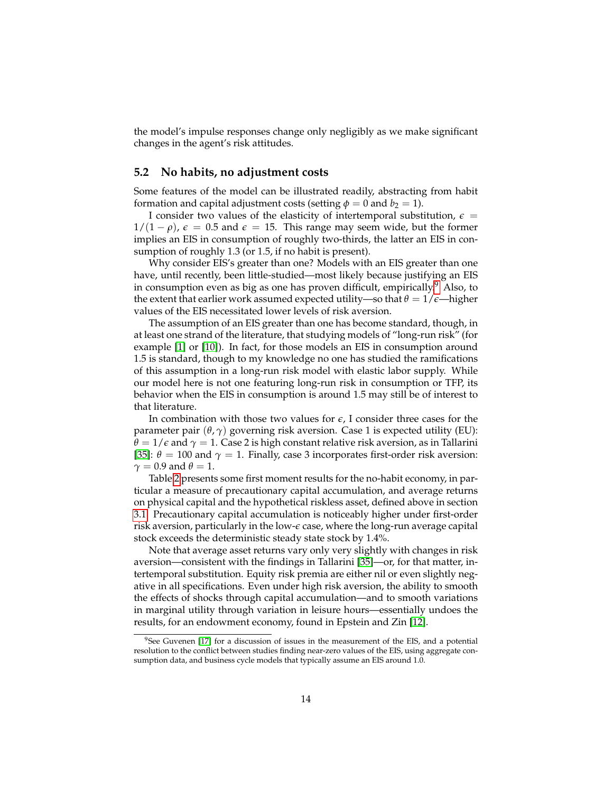the model's impulse responses change only negligibly as we make significant changes in the agent's risk attitudes.

#### **5.2 No habits, no adjustment costs**

Some features of the model can be illustrated readily, abstracting from habit formation and capital adjustment costs (setting  $\phi = 0$  and  $b_2 = 1$ ).

I consider two values of the elasticity of intertemporal substitution,  $\epsilon$  =  $1/(1 - \rho)$ ,  $\epsilon = 0.5$  and  $\epsilon = 15$ . This range may seem wide, but the former implies an EIS in consumption of roughly two-thirds, the latter an EIS in consumption of roughly 1.3 (or 1.5, if no habit is present).

Why consider EIS's greater than one? Models with an EIS greater than one have, until recently, been little-studied—most likely because justifying an EIS in consumption even as big as one has proven difficult, empirically.<sup>[9](#page-13-0)</sup> Also, to the extent that earlier work assumed expected utility—so that  $\theta = 1/\epsilon$ —higher values of the EIS necessitated lower levels of risk aversion.

The assumption of an EIS greater than one has become standard, though, in at least one strand of the literature, that studying models of "long-run risk" (for example [\[1\]](#page-27-1) or [\[10\]](#page-28-3)). In fact, for those models an EIS in consumption around 1.5 is standard, though to my knowledge no one has studied the ramifications of this assumption in a long-run risk model with elastic labor supply. While our model here is not one featuring long-run risk in consumption or TFP, its behavior when the EIS in consumption is around 1.5 may still be of interest to that literature.

In combination with those two values for  $\epsilon$ , I consider three cases for the parameter pair  $(θ, γ)$  governing risk aversion. Case 1 is expected utility (EU):  $\theta = 1/\epsilon$  and  $\gamma = 1$ . Case 2 is high constant relative risk aversion, as in Tallarini [\[35\]](#page-29-0):  $\theta = 100$  and  $\gamma = 1$ . Finally, case 3 incorporates first-order risk aversion:  $\gamma = 0.9$  and  $\theta = 1$ .

Table [2](#page-14-0) presents some first moment results for the no-habit economy, in particular a measure of precautionary capital accumulation, and average returns on physical capital and the hypothetical riskless asset, defined above in section [3.1.](#page-5-4) Precautionary capital accumulation is noticeably higher under first-order risk aversion, particularly in the low-*e* case, where the long-run average capital stock exceeds the deterministic steady state stock by 1.4%.

Note that average asset returns vary only very slightly with changes in risk aversion—consistent with the findings in Tallarini [\[35\]](#page-29-0)—or, for that matter, intertemporal substitution. Equity risk premia are either nil or even slightly negative in all specifications. Even under high risk aversion, the ability to smooth the effects of shocks through capital accumulation—and to smooth variations in marginal utility through variation in leisure hours—essentially undoes the results, for an endowment economy, found in Epstein and Zin [\[12\]](#page-28-1).

<span id="page-13-0"></span> $9$ See Guvenen [\[17\]](#page-28-11) for a discussion of issues in the measurement of the EIS, and a potential resolution to the conflict between studies finding near-zero values of the EIS, using aggregate consumption data, and business cycle models that typically assume an EIS around 1.0.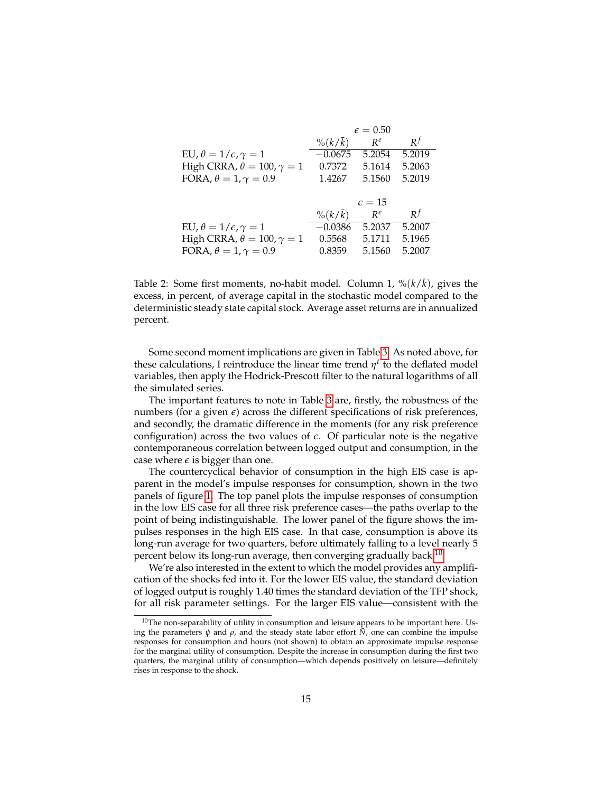|                                          |                         | $\epsilon = 0.50$ |        |
|------------------------------------------|-------------------------|-------------------|--------|
|                                          | $\frac{6}{(k/\bar{k})}$ | $R^e$             | $R^f$  |
| EU, $\theta = 1/\epsilon, \gamma = 1$    | $-0.0675$               | 5.2054            | 5.2019 |
| High CRRA, $\theta = 100$ , $\gamma = 1$ | 0.7372                  | 5.1614            | 5.2063 |
| FORA, $\theta = 1, \gamma = 0.9$         | 1.4267                  | 5.1560            | 5.2019 |
|                                          |                         |                   |        |
|                                          |                         | $\epsilon = 15$   |        |
|                                          |                         |                   |        |
|                                          | $\frac{6}{(k/\bar{k})}$ | Re                | $R^f$  |
| EU, $\theta = 1/\epsilon, \gamma = 1$    | $-0.0386$               | 5.2037            | 5.2007 |
| High CRRA, $\theta = 100$ , $\gamma = 1$ | 0.5568                  | 5.1711            | 5.1965 |

<span id="page-14-0"></span>Table 2: Some first moments, no-habit model. Column 1,  $\frac{\partial f}{\partial r}(k/k)$ , gives the excess, in percent, of average capital in the stochastic model compared to the deterministic steady state capital stock. Average asset returns are in annualized percent.

Some second moment implications are given in Table [3.](#page-15-0) As noted above, for these calculations, I reintroduce the linear time trend *η t* to the deflated model variables, then apply the Hodrick-Prescott filter to the natural logarithms of all the simulated series.

The important features to note in Table [3](#page-15-0) are, firstly, the robustness of the numbers (for a given  $\epsilon$ ) across the different specifications of risk preferences, and secondly, the dramatic difference in the moments (for any risk preference configuration) across the two values of  $\epsilon$ . Of particular note is the negative contemporaneous correlation between logged output and consumption, in the case where  $\epsilon$  is bigger than one.

The countercyclical behavior of consumption in the high EIS case is apparent in the model's impulse responses for consumption, shown in the two panels of figure [1.](#page-16-0) The top panel plots the impulse responses of consumption in the low EIS case for all three risk preference cases—the paths overlap to the point of being indistinguishable. The lower panel of the figure shows the impulses responses in the high EIS case. In that case, consumption is above its long-run average for two quarters, before ultimately falling to a level nearly 5 percent below its long-run average, then converging gradually back.<sup>[10](#page-14-1)</sup>

We're also interested in the extent to which the model provides any amplification of the shocks fed into it. For the lower EIS value, the standard deviation of logged output is roughly 1.40 times the standard deviation of the TFP shock, for all risk parameter settings. For the larger EIS value—consistent with the

<span id="page-14-1"></span> $10$ The non-separability of utility in consumption and leisure appears to be important here. Using the parameters  $\psi$  and  $\rho$ , and the steady state labor effort  $\overline{N}$ , one can combine the impulse responses for consumption and hours (not shown) to obtain an approximate impulse response for the marginal utility of consumption. Despite the increase in consumption during the first two quarters, the marginal utility of consumption—which depends positively on leisure—definitely rises in response to the shock.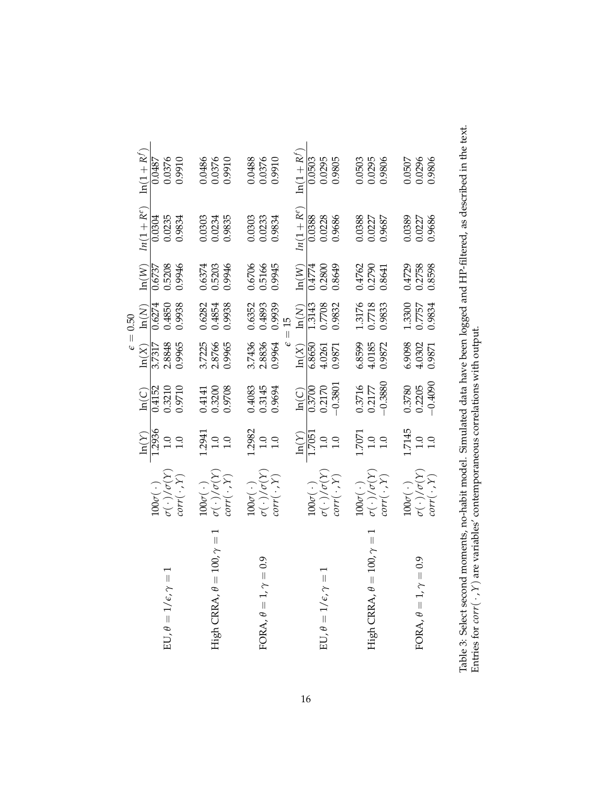| $\sigma(\,\cdot\,)/\sigma(Y)$<br>$\mathit{corr}(\,\cdot\,,Y)$<br>FORA, $\theta = 1$ , $\gamma = 0.9$                                                                            | $\frac{\ln(Y)}{1.2936}$<br>1.2982<br>1.2941<br>$\frac{0}{1.0}$<br>$\overline{1.0}$<br>$\begin{array}{c} 0.0 \\ 1.0 \end{array}$<br>1.0 | 0.4083<br>0.3145<br>$\frac{\ln(C)}{0.4152}$ $0.3210$ $0.9710$<br>0.9694<br>0.4141<br>0.3200<br>0.9708 | $\frac{\ln(X)}{3.7317}$ $\frac{2.8848}{0.9965}$<br>3.7225<br>2.8766<br>0.9965 | $\frac{\ln(N)}{0.6274}$ 0.4850<br>0.9938<br>3.7436 0.6352<br>2.8836 0.4893<br>0.9964 0.9939<br>0.6282<br>0.4854<br>0.9938 | $\ln(W)$<br>0.9945<br>0.9946<br>0.9946<br>0.6706<br>0.5166<br>0.5208<br>0.6374<br>0.5203<br>0.6737 | $ln(1+Re)$<br>0.0235<br>0.9834<br>0.0304<br>0.9834<br>0.0303<br>0.9835<br>0.0303<br>0.0233<br>0.0234 | $ln(1+R^f)$<br>0.9910<br>0.0487<br>0.0376<br>0.9910<br>0.0486<br>0.0376<br>0.9910<br>0.0488<br>0.0376 |
|---------------------------------------------------------------------------------------------------------------------------------------------------------------------------------|----------------------------------------------------------------------------------------------------------------------------------------|-------------------------------------------------------------------------------------------------------|-------------------------------------------------------------------------------|---------------------------------------------------------------------------------------------------------------------------|----------------------------------------------------------------------------------------------------|------------------------------------------------------------------------------------------------------|-------------------------------------------------------------------------------------------------------|
| $\begin{array}{l} 100\sigma\left(\,\cdot\,\right)\\ \sigma\left(\,\cdot\,\right)/\sigma(Y)\\ corr\left(\,\cdot\,,Y\right) \end{array}$<br>$EU, \theta = 1/\epsilon, \gamma = 1$ | 1.7051<br>ln(Y)<br>$\begin{array}{c} 0.0 \\ 1.0 \end{array}$                                                                           | $\begin{array}{c} 0.3700 \\ 0.2170 \\ -0.3801 \end{array}$<br>$\ln(\mathsf{C})$                       | $\ln(X)$<br>$\frac{6.8650}{4.0261}$<br>0.9871                                 | 1.3143<br>0.7708<br>0.9832<br>$\ln(N)$<br>$=15$                                                                           | 0.2800<br>0.8649<br>$\ln(W)$<br>0.4774                                                             | $ln(1+Re)$<br>0.0388<br>0.9686<br>0.0228                                                             | $ln(1+R^f)$<br>0.0295<br>0.9805<br>0.0503                                                             |
| $100\sigma(\cdot)$<br>$\sigma(\cdot)/\sigma(Y)$<br>$\mathit{corr}(\,\cdot\,,Y)$<br>High CRRA, $\theta=100, \gamma=1$                                                            | 1.7071<br>$\overline{0.1}$<br>1.0                                                                                                      | 0.3716<br>0.2177<br>-0.3880                                                                           | 6.8599<br>4.0185<br>0.9872                                                    | 1.3176<br>0.7718<br>0.9833                                                                                                | 0.4762<br>0.2790<br>0.8641                                                                         | 0.0388<br>0.0227<br>0.9687                                                                           | 0.503<br>0.0295<br>0.9806                                                                             |
| $\sigma(\,\cdot\,)/\sigma(Y)$ corr( $\cdot\,,Y)$<br>$100\sigma(\,\cdot\,)$<br>FORA, $\theta = 1$ , $\gamma = 0.9$                                                               | 1.7145<br>1.0<br>1.0                                                                                                                   | $-0.4090$<br>0.3780<br>0.2205                                                                         | 6.9098<br>4.0302<br>0.9871                                                    | 1.3300<br>0.7757<br>0.9834                                                                                                | 0.4729<br>0.2758<br>0.8598                                                                         | 0.0389<br>0.0227<br>0.9686                                                                           | 0.0507<br>0.0296<br>0.9806                                                                            |

<span id="page-15-0"></span>Table 3: Select second moments, no-habit model. Simulated data have been logged and HP-filtered, as described in the text.<br>Entries for  $corr(\cdot, Y)$  are variables' contemporaneous correlations with output. Table 3: Select second moments, no-habit model. Simulated data have been logged and HP-filtered, as described in the text. Entries for *corr*(· ,*Y*) are variables' contemporaneous correlations with output.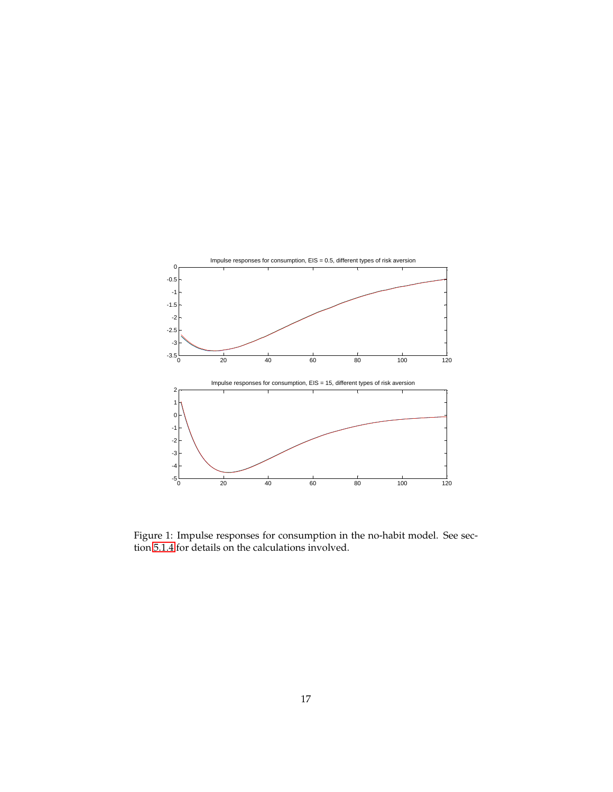

<span id="page-16-0"></span>Figure 1: Impulse responses for consumption in the no-habit model. See section [5.1.4](#page-12-0) for details on the calculations involved.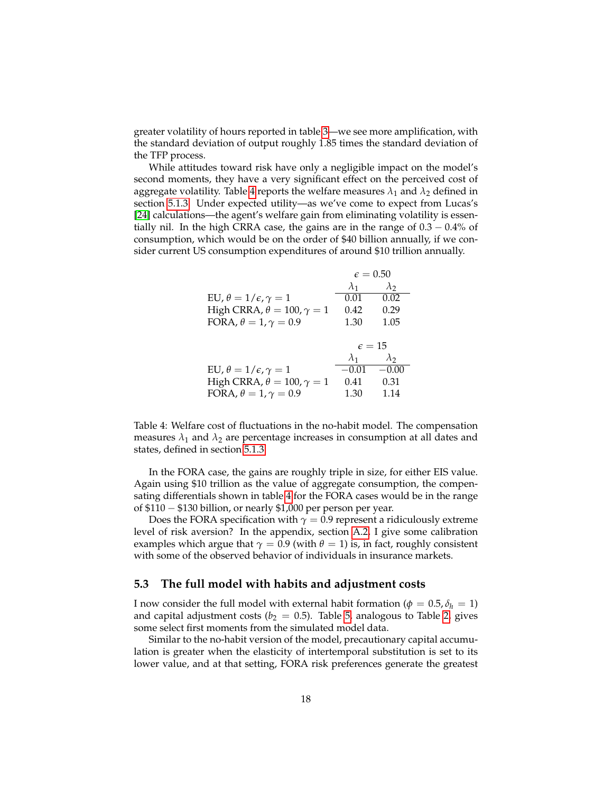greater volatility of hours reported in table [3—](#page-15-0)we see more amplification, with the standard deviation of output roughly 1.85 times the standard deviation of the TFP process.

While attitudes toward risk have only a negligible impact on the model's second moments, they have a very significant effect on the perceived cost of aggregate volatility. Table [4](#page-17-0) reports the welfare measures  $\lambda_1$  and  $\lambda_2$  defined in section [5.1.3.](#page-12-1) Under expected utility—as we've come to expect from Lucas's [\[24\]](#page-29-7) calculations—the agent's welfare gain from eliminating volatility is essentially nil. In the high CRRA case, the gains are in the range of  $0.3 - 0.4\%$  of consumption, which would be on the order of \$40 billion annually, if we consider current US consumption expenditures of around \$10 trillion annually.

|                                          | $\epsilon = 0.50$ |             |
|------------------------------------------|-------------------|-------------|
|                                          | $\lambda_1$       | $\lambda$ 2 |
| EU, $\theta = 1/\epsilon, \gamma = 1$    | 0.01              | 0.02        |
| High CRRA, $\theta = 100$ , $\gamma = 1$ | 0.42              | 0.29        |
| FORA, $\theta = 1, \gamma = 0.9$         | 1.30              | 1.05        |
|                                          |                   |             |
|                                          | $\epsilon = 15$   |             |
|                                          | $\lambda_1$       | $\lambda_2$ |
| EU, $\theta = 1/\epsilon, \gamma = 1$    | $-0.01$           | $-0.00$     |
| High CRRA, $\theta = 100$ , $\gamma = 1$ | 0.41              | 0.31        |
| FORA, $\theta = 1, \gamma = 0.9$         | 1.30              | 1.14        |

<span id="page-17-0"></span>Table 4: Welfare cost of fluctuations in the no-habit model. The compensation measures  $\lambda_1$  and  $\lambda_2$  are percentage increases in consumption at all dates and states, defined in section [5.1.3.](#page-12-1)

In the FORA case, the gains are roughly triple in size, for either EIS value. Again using \$10 trillion as the value of aggregate consumption, the compensating differentials shown in table [4](#page-17-0) for the FORA cases would be in the range of \$110 − \$130 billion, or nearly \$1,000 per person per year.

Does the FORA specification with  $\gamma = 0.9$  represent a ridiculously extreme level of risk aversion? In the appendix, section [A.2,](#page-24-0) I give some calibration examples which argue that  $\gamma = 0.9$  (with  $\theta = 1$ ) is, in fact, roughly consistent with some of the observed behavior of individuals in insurance markets.

#### **5.3 The full model with habits and adjustment costs**

I now consider the full model with external habit formation ( $\phi = 0.5, \delta_h = 1$ ) and capital adjustment costs ( $b_2 = 0.5$ ). Table [5,](#page-18-0) analogous to Table [2,](#page-14-0) gives some select first moments from the simulated model data.

Similar to the no-habit version of the model, precautionary capital accumulation is greater when the elasticity of intertemporal substitution is set to its lower value, and at that setting, FORA risk preferences generate the greatest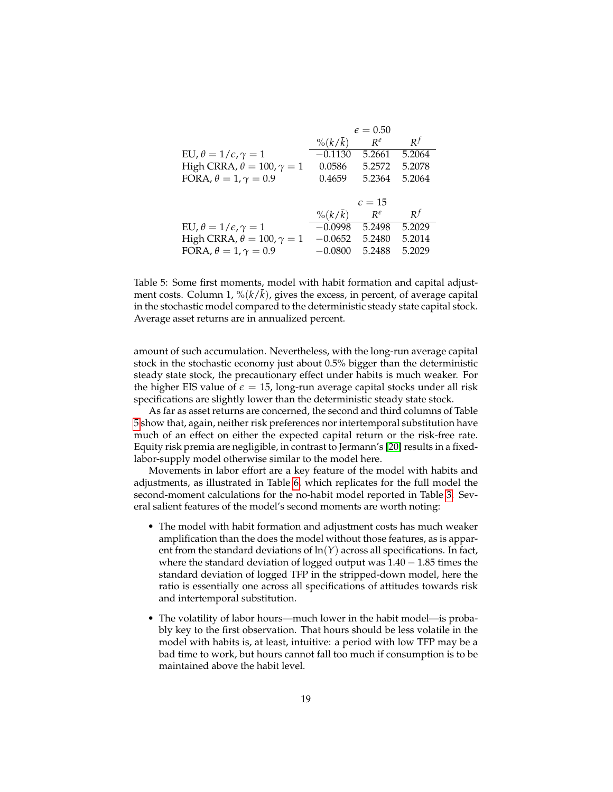|                                          |                         | $\epsilon = 0.50$ |        |
|------------------------------------------|-------------------------|-------------------|--------|
|                                          | $\frac{6}{(k/\bar{k})}$ | $R^e$             | $R^f$  |
| EU, $\theta = 1/\epsilon, \gamma = 1$    | $-0.1130$               | 5.2661            | 5.2064 |
| High CRRA, $\theta = 100$ , $\gamma = 1$ | 0.0586                  | 5.2572            | 5.2078 |
| FORA, $\theta = 1, \gamma = 0.9$         | 0.4659                  | 5.2364            | 5.2064 |
|                                          |                         |                   |        |
|                                          |                         | $\epsilon = 15$   |        |
|                                          | $\frac{6}{(k/\bar{k})}$ | Re                | $R^f$  |
| EU, $\theta = 1/\epsilon, \gamma = 1$    | $-0.0998$               | 5.2498            | 5.2029 |
| High CRRA, $\theta = 100$ , $\gamma = 1$ | $-0.0652$               | 5.2480            | 5.2014 |
| FORA, $\theta = 1, \gamma = 0.9$         | $-0.0800$               | 5.2488            | 5.2029 |

<span id="page-18-0"></span>Table 5: Some first moments, model with habit formation and capital adjustment costs. Column 1,  $\mathcal{C}(k/k)$ , gives the excess, in percent, of average capital in the stochastic model compared to the deterministic steady state capital stock. Average asset returns are in annualized percent.

amount of such accumulation. Nevertheless, with the long-run average capital stock in the stochastic economy just about 0.5% bigger than the deterministic steady state stock, the precautionary effect under habits is much weaker. For the higher EIS value of  $\epsilon = 15$ , long-run average capital stocks under all risk specifications are slightly lower than the deterministic steady state stock.

As far as asset returns are concerned, the second and third columns of Table [5](#page-18-0) show that, again, neither risk preferences nor intertemporal substitution have much of an effect on either the expected capital return or the risk-free rate. Equity risk premia are negligible, in contrast to Jermann's [\[20\]](#page-28-2) results in a fixedlabor-supply model otherwise similar to the model here.

Movements in labor effort are a key feature of the model with habits and adjustments, as illustrated in Table [6,](#page-20-0) which replicates for the full model the second-moment calculations for the no-habit model reported in Table [3.](#page-15-0) Several salient features of the model's second moments are worth noting:

- The model with habit formation and adjustment costs has much weaker amplification than the does the model without those features, as is apparent from the standard deviations of  $ln(Y)$  across all specifications. In fact, where the standard deviation of logged output was  $1.40 - 1.85$  times the standard deviation of logged TFP in the stripped-down model, here the ratio is essentially one across all specifications of attitudes towards risk and intertemporal substitution.
- The volatility of labor hours—much lower in the habit model—is probably key to the first observation. That hours should be less volatile in the model with habits is, at least, intuitive: a period with low TFP may be a bad time to work, but hours cannot fall too much if consumption is to be maintained above the habit level.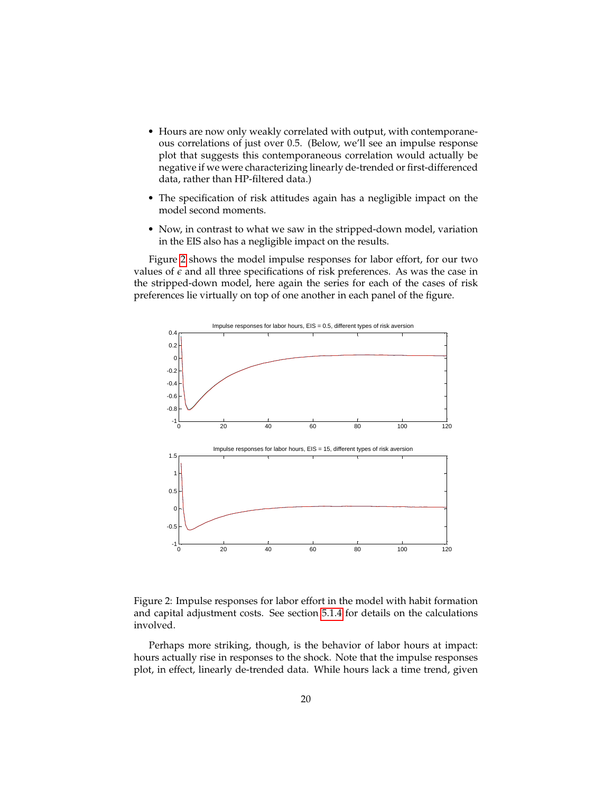- Hours are now only weakly correlated with output, with contemporaneous correlations of just over 0.5. (Below, we'll see an impulse response plot that suggests this contemporaneous correlation would actually be negative if we were characterizing linearly de-trended or first-differenced data, rather than HP-filtered data.)
- The specification of risk attitudes again has a negligible impact on the model second moments.
- Now, in contrast to what we saw in the stripped-down model, variation in the EIS also has a negligible impact on the results.

Figure [2](#page-19-0) shows the model impulse responses for labor effort, for our two values of  $\epsilon$  and all three specifications of risk preferences. As was the case in the stripped-down model, here again the series for each of the cases of risk preferences lie virtually on top of one another in each panel of the figure.



<span id="page-19-0"></span>Figure 2: Impulse responses for labor effort in the model with habit formation and capital adjustment costs. See section [5.1.4](#page-12-0) for details on the calculations involved.

Perhaps more striking, though, is the behavior of labor hours at impact: hours actually rise in responses to the shock. Note that the impulse responses plot, in effect, linearly de-trended data. While hours lack a time trend, given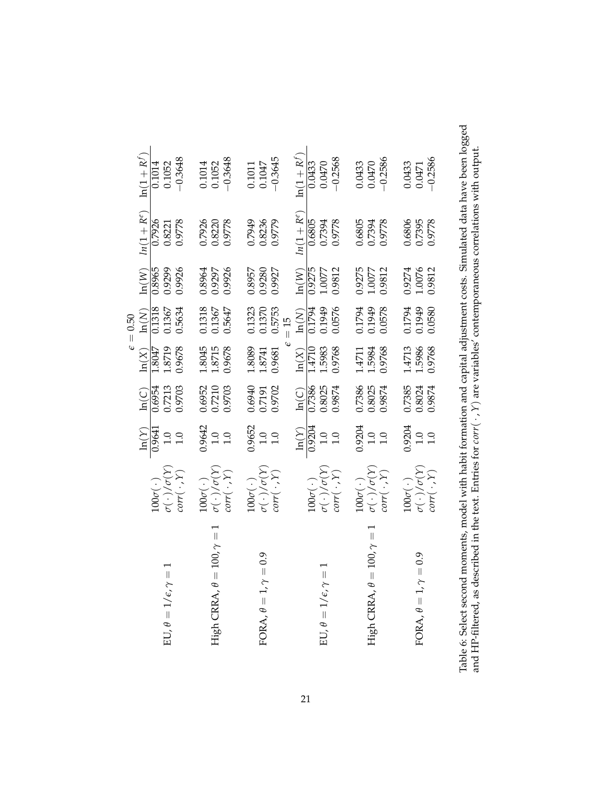<span id="page-20-0"></span>Table 6: Select second moments, model with habit formation and capital adjustment costs. Simulated data have been logged and HP-filtered, as described in the text. Entries for  $corr(\cdot, Y)$  are variables' contemporaneous corre Table 6: Select second moments, model with habit formation and capital adjustment costs. Simulated data have been logged and HP-filtered, as described in the text. Entries for *corr*(· ,*Y*) are variables' contemporaneous correlations with output.

21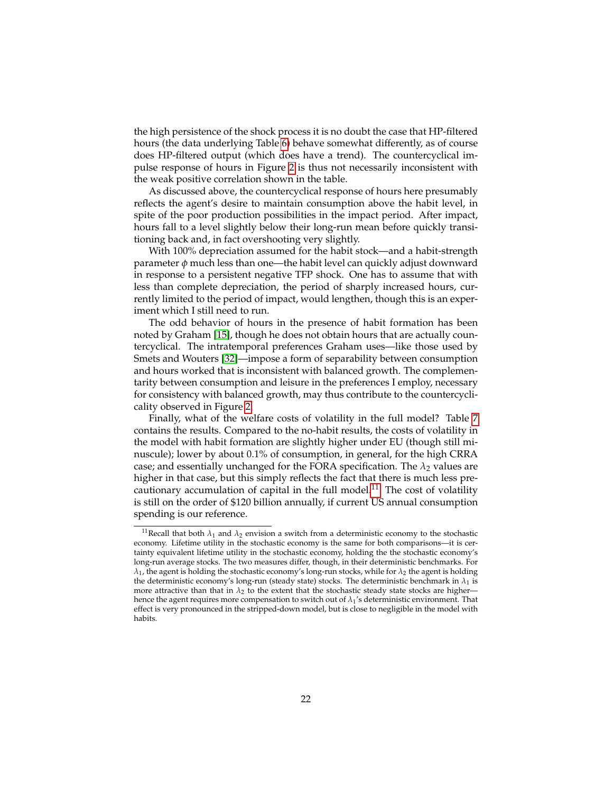the high persistence of the shock process it is no doubt the case that HP-filtered hours (the data underlying Table [6\)](#page-20-0) behave somewhat differently, as of course does HP-filtered output (which does have a trend). The countercyclical impulse response of hours in Figure [2](#page-19-0) is thus not necessarily inconsistent with the weak positive correlation shown in the table.

As discussed above, the countercyclical response of hours here presumably reflects the agent's desire to maintain consumption above the habit level, in spite of the poor production possibilities in the impact period. After impact, hours fall to a level slightly below their long-run mean before quickly transitioning back and, in fact overshooting very slightly.

With 100% depreciation assumed for the habit stock—and a habit-strength parameter *φ* much less than one—the habit level can quickly adjust downward in response to a persistent negative TFP shock. One has to assume that with less than complete depreciation, the period of sharply increased hours, currently limited to the period of impact, would lengthen, though this is an experiment which I still need to run.

The odd behavior of hours in the presence of habit formation has been noted by Graham [\[15\]](#page-28-12), though he does not obtain hours that are actually countercyclical. The intratemporal preferences Graham uses—like those used by Smets and Wouters [\[32\]](#page-29-1)—impose a form of separability between consumption and hours worked that is inconsistent with balanced growth. The complementarity between consumption and leisure in the preferences I employ, necessary for consistency with balanced growth, may thus contribute to the countercyclicality observed in Figure [2.](#page-19-0)

Finally, what of the welfare costs of volatility in the full model? Table [7](#page-22-1) contains the results. Compared to the no-habit results, the costs of volatility in the model with habit formation are slightly higher under EU (though still minuscule); lower by about 0.1% of consumption, in general, for the high CRRA case; and essentially unchanged for the FORA specification. The  $\lambda_2$  values are higher in that case, but this simply reflects the fact that there is much less pre-cautionary accumulation of capital in the full model.<sup>[11](#page-21-0)</sup> The cost of volatility is still on the order of \$120 billion annually, if current US annual consumption spending is our reference.

<span id="page-21-0"></span><sup>&</sup>lt;sup>11</sup>Recall that both  $\lambda_1$  and  $\lambda_2$  envision a switch from a deterministic economy to the stochastic economy. Lifetime utility in the stochastic economy is the same for both comparisons—it is certainty equivalent lifetime utility in the stochastic economy, holding the the stochastic economy's long-run average stocks. The two measures differ, though, in their deterministic benchmarks. For  $\lambda_1$ , the agent is holding the stochastic economy's long-run stocks, while for  $\lambda_2$  the agent is holding the deterministic economy's long-run (steady state) stocks. The deterministic benchmark in  $\lambda_1$  is more attractive than that in  $\lambda_2$  to the extent that the stochastic steady state stocks are higher hence the agent requires more compensation to switch out of *λ*1's deterministic environment. That effect is very pronounced in the stripped-down model, but is close to negligible in the model with habits.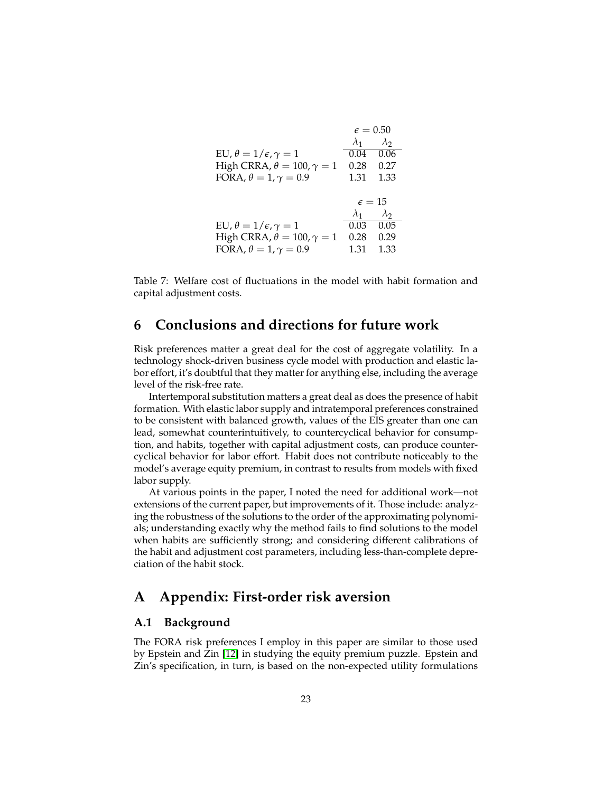|                                          |             | $\epsilon = 0.50$ |
|------------------------------------------|-------------|-------------------|
|                                          | $\lambda_1$ | $\lambda_2$       |
| EU, $\theta = 1/\epsilon, \gamma = 1$    | 0.04        | 0.06              |
| High CRRA, $\theta = 100$ , $\gamma = 1$ | 0.28        | 0.27              |
| FORA, $\theta = 1, \gamma = 0.9$         | 1.31        | 1.33              |
|                                          |             |                   |
|                                          |             | $\epsilon = 15$   |
|                                          | $\lambda_1$ | $\lambda_{2}$     |
| EU, $\theta = 1/\epsilon, \gamma = 1$    | 0.03        | 0.05              |
| High CRRA, $\theta = 100$ , $\gamma = 1$ | 0.28        | 0.29              |
| FORA, $\theta = 1, \gamma = 0.9$         |             |                   |
|                                          | 1.31        | 1.33              |

<span id="page-22-1"></span>Table 7: Welfare cost of fluctuations in the model with habit formation and capital adjustment costs.

## **6 Conclusions and directions for future work**

Risk preferences matter a great deal for the cost of aggregate volatility. In a technology shock-driven business cycle model with production and elastic labor effort, it's doubtful that they matter for anything else, including the average level of the risk-free rate.

Intertemporal substitution matters a great deal as does the presence of habit formation. With elastic labor supply and intratemporal preferences constrained to be consistent with balanced growth, values of the EIS greater than one can lead, somewhat counterintuitively, to countercyclical behavior for consumption, and habits, together with capital adjustment costs, can produce countercyclical behavior for labor effort. Habit does not contribute noticeably to the model's average equity premium, in contrast to results from models with fixed labor supply.

At various points in the paper, I noted the need for additional work—not extensions of the current paper, but improvements of it. Those include: analyzing the robustness of the solutions to the order of the approximating polynomials; understanding exactly why the method fails to find solutions to the model when habits are sufficiently strong; and considering different calibrations of the habit and adjustment cost parameters, including less-than-complete depreciation of the habit stock.

# **A Appendix: First-order risk aversion**

#### <span id="page-22-0"></span>**A.1 Background**

The FORA risk preferences I employ in this paper are similar to those used by Epstein and Zin [\[12\]](#page-28-1) in studying the equity premium puzzle. Epstein and Zin's specification, in turn, is based on the non-expected utility formulations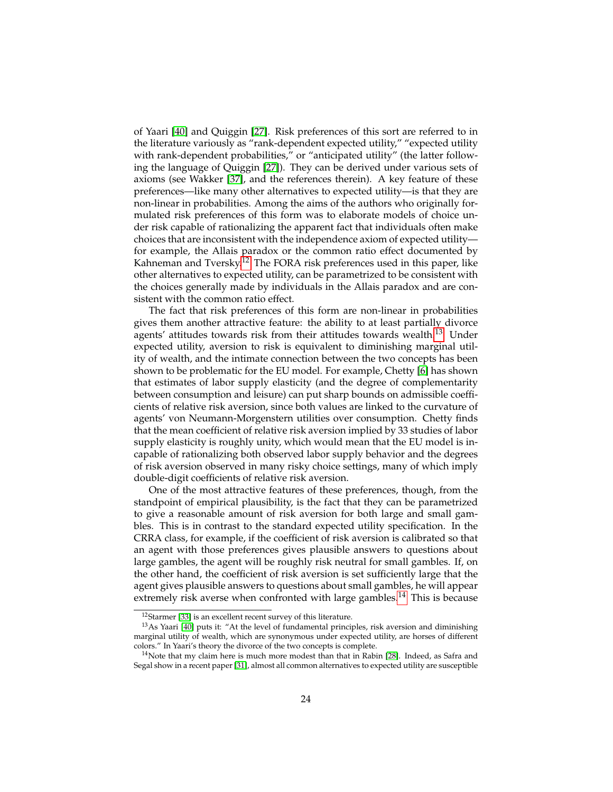of Yaari [\[40\]](#page-30-1) and Quiggin [\[27\]](#page-29-2). Risk preferences of this sort are referred to in the literature variously as "rank-dependent expected utility," "expected utility with rank-dependent probabilities," or "anticipated utility" (the latter following the language of Quiggin [\[27\]](#page-29-2)). They can be derived under various sets of axioms (see Wakker [\[37\]](#page-29-8), and the references therein). A key feature of these preferences—like many other alternatives to expected utility—is that they are non-linear in probabilities. Among the aims of the authors who originally formulated risk preferences of this form was to elaborate models of choice under risk capable of rationalizing the apparent fact that individuals often make choices that are inconsistent with the independence axiom of expected utility for example, the Allais paradox or the common ratio effect documented by Kahneman and Tversky.<sup>[12](#page-23-0)</sup> The FORA risk preferences used in this paper, like other alternatives to expected utility, can be parametrized to be consistent with the choices generally made by individuals in the Allais paradox and are consistent with the common ratio effect.

The fact that risk preferences of this form are non-linear in probabilities gives them another attractive feature: the ability to at least partially divorce agents' attitudes towards risk from their attitudes towards wealth.<sup>[13](#page-23-1)</sup> Under expected utility, aversion to risk is equivalent to diminishing marginal utility of wealth, and the intimate connection between the two concepts has been shown to be problematic for the EU model. For example, Chetty [\[6\]](#page-27-6) has shown that estimates of labor supply elasticity (and the degree of complementarity between consumption and leisure) can put sharp bounds on admissible coefficients of relative risk aversion, since both values are linked to the curvature of agents' von Neumann-Morgenstern utilities over consumption. Chetty finds that the mean coefficient of relative risk aversion implied by 33 studies of labor supply elasticity is roughly unity, which would mean that the EU model is incapable of rationalizing both observed labor supply behavior and the degrees of risk aversion observed in many risky choice settings, many of which imply double-digit coefficients of relative risk aversion.

One of the most attractive features of these preferences, though, from the standpoint of empirical plausibility, is the fact that they can be parametrized to give a reasonable amount of risk aversion for both large and small gambles. This is in contrast to the standard expected utility specification. In the CRRA class, for example, if the coefficient of risk aversion is calibrated so that an agent with those preferences gives plausible answers to questions about large gambles, the agent will be roughly risk neutral for small gambles. If, on the other hand, the coefficient of risk aversion is set sufficiently large that the agent gives plausible answers to questions about small gambles, he will appear extremely risk averse when confronted with large gambles.<sup>[14](#page-23-2)</sup> This is because

<span id="page-23-1"></span><span id="page-23-0"></span><sup>&</sup>lt;sup>12</sup>Starmer [\[33\]](#page-29-9) is an excellent recent survey of this literature.

<sup>13</sup>As Yaari [\[40\]](#page-30-1) puts it: "At the level of fundamental principles, risk aversion and diminishing marginal utility of wealth, which are synonymous under expected utility, are horses of different colors." In Yaari's theory the divorce of the two concepts is complete.

<span id="page-23-2"></span> $14$ Note that my claim here is much more modest than that in Rabin [\[28\]](#page-29-10). Indeed, as Safra and Segal show in a recent paper [\[31\]](#page-29-11), almost all common alternatives to expected utility are susceptible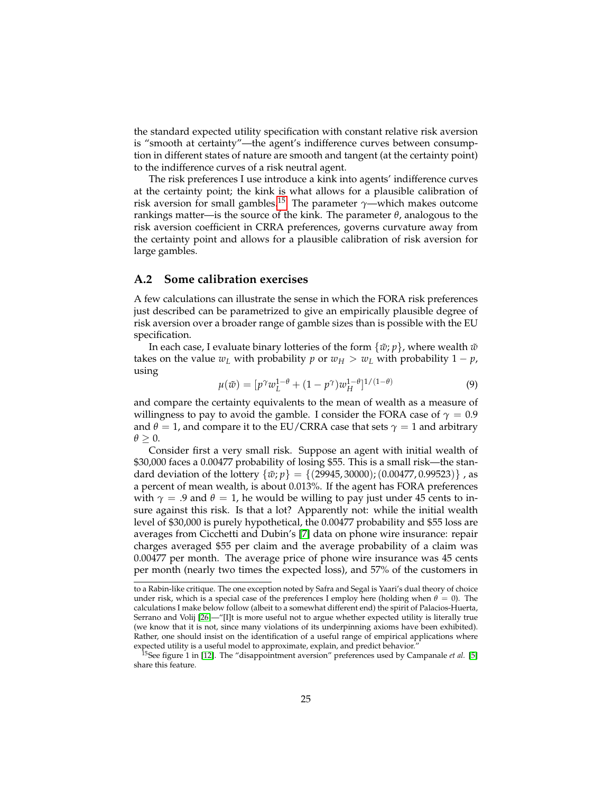the standard expected utility specification with constant relative risk aversion is "smooth at certainty"—the agent's indifference curves between consumption in different states of nature are smooth and tangent (at the certainty point) to the indifference curves of a risk neutral agent.

The risk preferences I use introduce a kink into agents' indifference curves at the certainty point; the kink is what allows for a plausible calibration of risk aversion for small gambles.[15](#page-24-1) The parameter *γ*—which makes outcome rankings matter—is the source of the kink. The parameter *θ*, analogous to the risk aversion coefficient in CRRA preferences, governs curvature away from the certainty point and allows for a plausible calibration of risk aversion for large gambles.

#### <span id="page-24-0"></span>**A.2 Some calibration exercises**

A few calculations can illustrate the sense in which the FORA risk preferences just described can be parametrized to give an empirically plausible degree of risk aversion over a broader range of gamble sizes than is possible with the EU specification.

In each case, I evaluate binary lotteries of the form  $\{\tilde{w}; p\}$ , where wealth  $\tilde{w}$ takes on the value  $w_L$  with probability *p* or  $w_H > w_L$  with probability  $1 - p$ , using

$$
\mu(\tilde{w}) = [p^{\gamma} w_L^{1-\theta} + (1-p^{\gamma}) w_H^{1-\theta}]^{1/(1-\theta)}
$$
\n(9)

and compare the certainty equivalents to the mean of wealth as a measure of willingness to pay to avoid the gamble. I consider the FORA case of  $\gamma = 0.9$ and  $\theta = 1$ , and compare it to the EU/CRRA case that sets  $\gamma = 1$  and arbitrary  $\theta > 0$ .

Consider first a very small risk. Suppose an agent with initial wealth of \$30,000 faces a 0.00477 probability of losing \$55. This is a small risk—the standard deviation of the lottery  $\{\tilde{w}; p\} = \{(29945, 30000); (0.00477, 0.99523)\}\$ , as a percent of mean wealth, is about 0.013%. If the agent has FORA preferences with  $\gamma = .9$  and  $\theta = 1$ , he would be willing to pay just under 45 cents to insure against this risk. Is that a lot? Apparently not: while the initial wealth level of \$30,000 is purely hypothetical, the 0.00477 probability and \$55 loss are averages from Cicchetti and Dubin's [\[7\]](#page-27-7) data on phone wire insurance: repair charges averaged \$55 per claim and the average probability of a claim was 0.00477 per month. The average price of phone wire insurance was 45 cents per month (nearly two times the expected loss), and 57% of the customers in

to a Rabin-like critique. The one exception noted by Safra and Segal is Yaari's dual theory of choice under risk, which is a special case of the preferences I employ here (holding when  $\theta = 0$ ). The calculations I make below follow (albeit to a somewhat different end) the spirit of Palacios-Huerta, Serrano and Volij [\[26\]](#page-29-12)—"[I]t is more useful not to argue whether expected utility is literally true (we know that it is not, since many violations of its underpinning axioms have been exhibited). Rather, one should insist on the identification of a useful range of empirical applications where expected utility is a useful model to approximate, explain, and predict behavior."

<span id="page-24-1"></span><sup>&</sup>lt;sup>15</sup>See figure 1 in [\[12\]](#page-28-1). The "disappointment aversion" preferences used by Campanale *et al.* [\[5\]](#page-27-5) share this feature.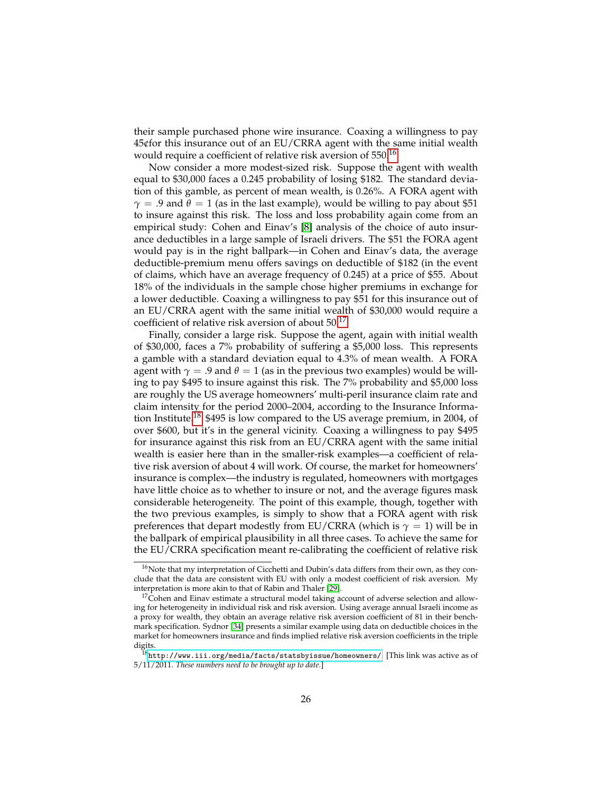their sample purchased phone wire insurance. Coaxing a willingness to pay 45¢for this insurance out of an EU/CRRA agent with the same initial wealth would require a coefficient of relative risk aversion of 550.<sup>[16](#page-25-0)</sup>

Now consider a more modest-sized risk. Suppose the agent with wealth equal to \$30,000 faces a 0.245 probability of losing \$182. The standard deviation of this gamble, as percent of mean wealth, is 0.26%. A FORA agent with  $\gamma$  = .9 and  $\theta$  = 1 (as in the last example), would be willing to pay about \$51 to insure against this risk. The loss and loss probability again come from an empirical study: Cohen and Einav's [\[8\]](#page-27-8) analysis of the choice of auto insurance deductibles in a large sample of Israeli drivers. The \$51 the FORA agent would pay is in the right ballpark—in Cohen and Einav's data, the average deductible-premium menu offers savings on deductible of \$182 (in the event of claims, which have an average frequency of 0.245) at a price of \$55. About 18% of the individuals in the sample chose higher premiums in exchange for a lower deductible. Coaxing a willingness to pay \$51 for this insurance out of an EU/CRRA agent with the same initial wealth of \$30,000 would require a coefficient of relative risk aversion of about 50.[17](#page-25-1)

Finally, consider a large risk. Suppose the agent, again with initial wealth of \$30,000, faces a 7% probability of suffering a \$5,000 loss. This represents a gamble with a standard deviation equal to 4.3% of mean wealth. A FORA agent with  $\gamma = .9$  and  $\theta = 1$  (as in the previous two examples) would be willing to pay \$495 to insure against this risk. The 7% probability and \$5,000 loss are roughly the US average homeowners' multi-peril insurance claim rate and claim intensity for the period 2000–2004, according to the Insurance Informa-tion Institute.<sup>[18](#page-25-2)</sup> \$495 is low compared to the US average premium, in 2004, of over \$600, but it's in the general vicinity. Coaxing a willingness to pay \$495 for insurance against this risk from an EU/CRRA agent with the same initial wealth is easier here than in the smaller-risk examples—a coefficient of relative risk aversion of about 4 will work. Of course, the market for homeowners' insurance is complex—the industry is regulated, homeowners with mortgages have little choice as to whether to insure or not, and the average figures mask considerable heterogeneity. The point of this example, though, together with the two previous examples, is simply to show that a FORA agent with risk preferences that depart modestly from EU/CRRA (which is  $\gamma = 1$ ) will be in the ballpark of empirical plausibility in all three cases. To achieve the same for the EU/CRRA specification meant re-calibrating the coefficient of relative risk

<span id="page-25-0"></span><sup>&</sup>lt;sup>16</sup>Note that my interpretation of Cicchetti and Dubin's data differs from their own, as they conclude that the data are consistent with EU with only a modest coefficient of risk aversion. My interpretation is more akin to that of Rabin and Thaler [\[29\]](#page-29-13).

<span id="page-25-1"></span> $17C$ ohen and Einav estimate a structural model taking account of adverse selection and allowing for heterogeneity in individual risk and risk aversion. Using average annual Israeli income as a proxy for wealth, they obtain an average relative risk aversion coefficient of 81 in their benchmark specification. Sydnor [\[34\]](#page-29-14) presents a similar example using data on deductible choices in the market for homeowners insurance and finds implied relative risk aversion coefficients in the triple digits.

<span id="page-25-2"></span> $18$ <http://www.iii.org/media/facts/statsbyissue/homeowners/>. [This link was active as of 5/11/2011. *These numbers need to be brought up to date.*]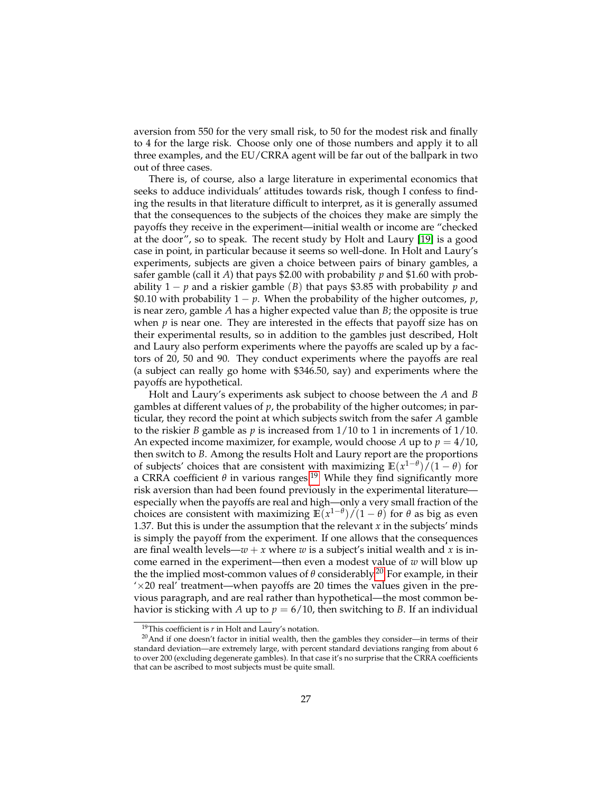aversion from 550 for the very small risk, to 50 for the modest risk and finally to 4 for the large risk. Choose only one of those numbers and apply it to all three examples, and the EU/CRRA agent will be far out of the ballpark in two out of three cases.

There is, of course, also a large literature in experimental economics that seeks to adduce individuals' attitudes towards risk, though I confess to finding the results in that literature difficult to interpret, as it is generally assumed that the consequences to the subjects of the choices they make are simply the payoffs they receive in the experiment—initial wealth or income are "checked at the door", so to speak. The recent study by Holt and Laury [\[19\]](#page-28-13) is a good case in point, in particular because it seems so well-done. In Holt and Laury's experiments, subjects are given a choice between pairs of binary gambles, a safer gamble (call it *A*) that pays \$2.00 with probability *p* and \$1.60 with probability 1 − *p* and a riskier gamble (*B*) that pays \$3.85 with probability *p* and \$0.10 with probability 1 − *p*. When the probability of the higher outcomes, *p*, is near zero, gamble *A* has a higher expected value than *B*; the opposite is true when  $p$  is near one. They are interested in the effects that payoff size has on their experimental results, so in addition to the gambles just described, Holt and Laury also perform experiments where the payoffs are scaled up by a factors of 20, 50 and 90. They conduct experiments where the payoffs are real (a subject can really go home with \$346.50, say) and experiments where the payoffs are hypothetical.

Holt and Laury's experiments ask subject to choose between the *A* and *B* gambles at different values of *p*, the probability of the higher outcomes; in particular, they record the point at which subjects switch from the safer *A* gamble to the riskier *B* gamble as *p* is increased from 1/10 to 1 in increments of 1/10. An expected income maximizer, for example, would choose A up to  $p = 4/10$ , then switch to *B*. Among the results Holt and Laury report are the proportions of subjects' choices that are consistent with maximizing  $\mathbb{E}(x^{1-\theta})/(1-\theta)$  for a CRRA coefficient  $\theta$  in various ranges.<sup>[19](#page-26-0)</sup> While they find significantly more risk aversion than had been found previously in the experimental literature especially when the payoffs are real and high—only a very small fraction of the choices are consistent with maximizing  $\mathbb{E}(x^{1-\theta})/(1-\theta)$  for  $\theta$  as big as even 1.37. But this is under the assumption that the relevant *x* in the subjects' minds is simply the payoff from the experiment. If one allows that the consequences are final wealth levels— $w + x$  where  $w$  is a subject's initial wealth and  $x$  is income earned in the experiment—then even a modest value of *w* will blow up the the implied most-common values of  $\theta$  considerably.<sup>[20](#page-26-1)</sup> For example, in their  $\angle$  ×20 real' treatment—when payoffs are 20 times the values given in the previous paragraph, and are real rather than hypothetical—the most common behavior is sticking with *A* up to  $p = 6/10$ , then switching to *B*. If an individual

<span id="page-26-1"></span><span id="page-26-0"></span><sup>19</sup>This coefficient is *r* in Holt and Laury's notation.

 $20$ And if one doesn't factor in initial wealth, then the gambles they consider—in terms of their standard deviation—are extremely large, with percent standard deviations ranging from about 6 to over 200 (excluding degenerate gambles). In that case it's no surprise that the CRRA coefficients that can be ascribed to most subjects must be quite small.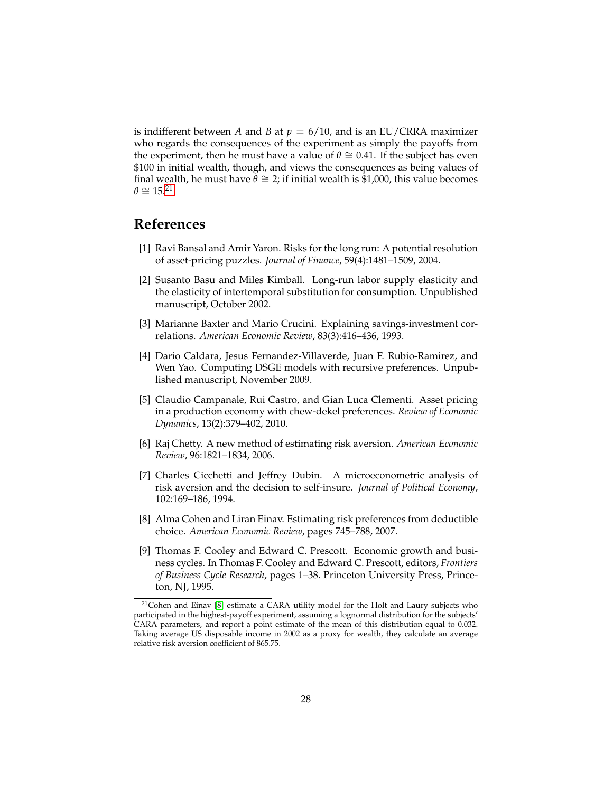is indifferent between *A* and *B* at  $p = 6/10$ , and is an EU/CRRA maximizer who regards the consequences of the experiment as simply the payoffs from the experiment, then he must have a value of  $\theta \cong 0.41$ . If the subject has even \$100 in initial wealth, though, and views the consequences as being values of final wealth, he must have  $\theta \cong 2$ ; if initial wealth is \$1,000, this value becomes  $\theta \cong 15^{21}$  $\theta \cong 15^{21}$  $\theta \cong 15^{21}$ 

# **References**

- <span id="page-27-1"></span>[1] Ravi Bansal and Amir Yaron. Risks for the long run: A potential resolution of asset-pricing puzzles. *Journal of Finance*, 59(4):1481–1509, 2004.
- <span id="page-27-2"></span>[2] Susanto Basu and Miles Kimball. Long-run labor supply elasticity and the elasticity of intertemporal substitution for consumption. Unpublished manuscript, October 2002.
- <span id="page-27-3"></span>[3] Marianne Baxter and Mario Crucini. Explaining savings-investment correlations. *American Economic Review*, 83(3):416–436, 1993.
- <span id="page-27-0"></span>[4] Dario Caldara, Jesus Fernandez-Villaverde, Juan F. Rubio-Ramirez, and Wen Yao. Computing DSGE models with recursive preferences. Unpublished manuscript, November 2009.
- <span id="page-27-5"></span>[5] Claudio Campanale, Rui Castro, and Gian Luca Clementi. Asset pricing in a production economy with chew-dekel preferences. *Review of Economic Dynamics*, 13(2):379–402, 2010.
- <span id="page-27-6"></span>[6] Raj Chetty. A new method of estimating risk aversion. *American Economic Review*, 96:1821–1834, 2006.
- <span id="page-27-7"></span>[7] Charles Cicchetti and Jeffrey Dubin. A microeconometric analysis of risk aversion and the decision to self-insure. *Journal of Political Economy*, 102:169–186, 1994.
- <span id="page-27-8"></span>[8] Alma Cohen and Liran Einav. Estimating risk preferences from deductible choice. *American Economic Review*, pages 745–788, 2007.
- <span id="page-27-4"></span>[9] Thomas F. Cooley and Edward C. Prescott. Economic growth and business cycles. In Thomas F. Cooley and Edward C. Prescott, editors, *Frontiers of Business Cycle Research*, pages 1–38. Princeton University Press, Princeton, NJ, 1995.

<span id="page-27-9"></span><sup>21</sup>Cohen and Einav [\[8\]](#page-27-8) estimate a CARA utility model for the Holt and Laury subjects who participated in the highest-payoff experiment, assuming a lognormal distribution for the subjects' CARA parameters, and report a point estimate of the mean of this distribution equal to 0.032. Taking average US disposable income in 2002 as a proxy for wealth, they calculate an average relative risk aversion coefficient of 865.75.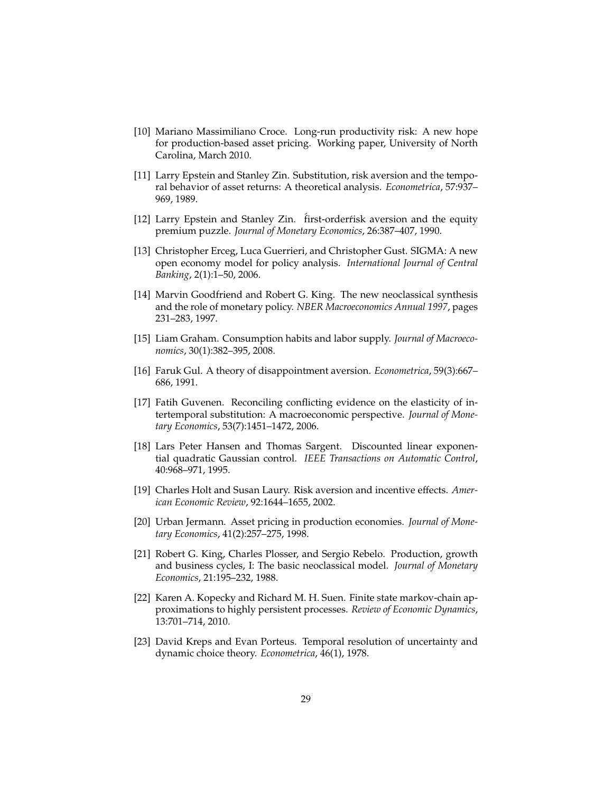- <span id="page-28-3"></span>[10] Mariano Massimiliano Croce. Long-run productivity risk: A new hope for production-based asset pricing. Working paper, University of North Carolina, March 2010.
- <span id="page-28-5"></span>[11] Larry Epstein and Stanley Zin. Substitution, risk aversion and the temporal behavior of asset returns: A theoretical analysis. *Econometrica*, 57:937– 969, 1989.
- <span id="page-28-1"></span>[12] Larry Epstein and Stanley Zin. first-orderfisk aversion and the equity premium puzzle. *Journal of Monetary Economics*, 26:387–407, 1990.
- <span id="page-28-9"></span>[13] Christopher Erceg, Luca Guerrieri, and Christopher Gust. SIGMA: A new open economy model for policy analysis. *International Journal of Central Banking*, 2(1):1–50, 2006.
- <span id="page-28-8"></span>[14] Marvin Goodfriend and Robert G. King. The new neoclassical synthesis and the role of monetary policy. *NBER Macroeconomics Annual 1997*, pages 231–283, 1997.
- <span id="page-28-12"></span>[15] Liam Graham. Consumption habits and labor supply. *Journal of Macroeconomics*, 30(1):382–395, 2008.
- <span id="page-28-4"></span>[16] Faruk Gul. A theory of disappointment aversion. *Econometrica*, 59(3):667– 686, 1991.
- <span id="page-28-11"></span>[17] Fatih Guvenen. Reconciling conflicting evidence on the elasticity of intertemporal substitution: A macroeconomic perspective. *Journal of Monetary Economics*, 53(7):1451–1472, 2006.
- <span id="page-28-6"></span>[18] Lars Peter Hansen and Thomas Sargent. Discounted linear exponential quadratic Gaussian control. *IEEE Transactions on Automatic Control*, 40:968–971, 1995.
- <span id="page-28-13"></span>[19] Charles Holt and Susan Laury. Risk aversion and incentive effects. *American Economic Review*, 92:1644–1655, 2002.
- <span id="page-28-2"></span>[20] Urban Jermann. Asset pricing in production economies. *Journal of Monetary Economics*, 41(2):257–275, 1998.
- <span id="page-28-7"></span>[21] Robert G. King, Charles Plosser, and Sergio Rebelo. Production, growth and business cycles, I: The basic neoclassical model. *Journal of Monetary Economics*, 21:195–232, 1988.
- <span id="page-28-10"></span>[22] Karen A. Kopecky and Richard M. H. Suen. Finite state markov-chain approximations to highly persistent processes. *Review of Economic Dynamics*, 13:701–714, 2010.
- <span id="page-28-0"></span>[23] David Kreps and Evan Porteus. Temporal resolution of uncertainty and dynamic choice theory. *Econometrica*, 46(1), 1978.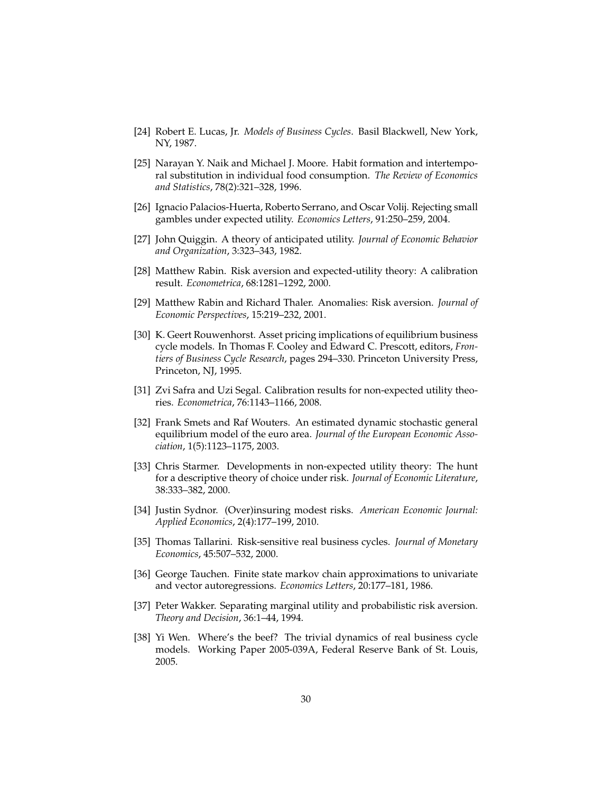- <span id="page-29-7"></span>[24] Robert E. Lucas, Jr. *Models of Business Cycles*. Basil Blackwell, New York, NY, 1987.
- <span id="page-29-3"></span>[25] Narayan Y. Naik and Michael J. Moore. Habit formation and intertemporal substitution in individual food consumption. *The Review of Economics and Statistics*, 78(2):321–328, 1996.
- <span id="page-29-12"></span>[26] Ignacio Palacios-Huerta, Roberto Serrano, and Oscar Volij. Rejecting small gambles under expected utility. *Economics Letters*, 91:250–259, 2004.
- <span id="page-29-2"></span>[27] John Quiggin. A theory of anticipated utility. *Journal of Economic Behavior and Organization*, 3:323–343, 1982.
- <span id="page-29-10"></span>[28] Matthew Rabin. Risk aversion and expected-utility theory: A calibration result. *Econometrica*, 68:1281–1292, 2000.
- <span id="page-29-13"></span>[29] Matthew Rabin and Richard Thaler. Anomalies: Risk aversion. *Journal of Economic Perspectives*, 15:219–232, 2001.
- <span id="page-29-4"></span>[30] K. Geert Rouwenhorst. Asset pricing implications of equilibrium business cycle models. In Thomas F. Cooley and Edward C. Prescott, editors, *Frontiers of Business Cycle Research*, pages 294–330. Princeton University Press, Princeton, NJ, 1995.
- <span id="page-29-11"></span>[31] Zvi Safra and Uzi Segal. Calibration results for non-expected utility theories. *Econometrica*, 76:1143–1166, 2008.
- <span id="page-29-1"></span>[32] Frank Smets and Raf Wouters. An estimated dynamic stochastic general equilibrium model of the euro area. *Journal of the European Economic Association*, 1(5):1123–1175, 2003.
- <span id="page-29-9"></span>[33] Chris Starmer. Developments in non-expected utility theory: The hunt for a descriptive theory of choice under risk. *Journal of Economic Literature*, 38:333–382, 2000.
- <span id="page-29-14"></span>[34] Justin Sydnor. (Over)insuring modest risks. *American Economic Journal: Applied Economics*, 2(4):177–199, 2010.
- <span id="page-29-0"></span>[35] Thomas Tallarini. Risk-sensitive real business cycles. *Journal of Monetary Economics*, 45:507–532, 2000.
- <span id="page-29-5"></span>[36] George Tauchen. Finite state markov chain approximations to univariate and vector autoregressions. *Economics Letters*, 20:177–181, 1986.
- <span id="page-29-8"></span>[37] Peter Wakker. Separating marginal utility and probabilistic risk aversion. *Theory and Decision*, 36:1–44, 1994.
- <span id="page-29-6"></span>[38] Yi Wen. Where's the beef? The trivial dynamics of real business cycle models. Working Paper 2005-039A, Federal Reserve Bank of St. Louis, 2005.